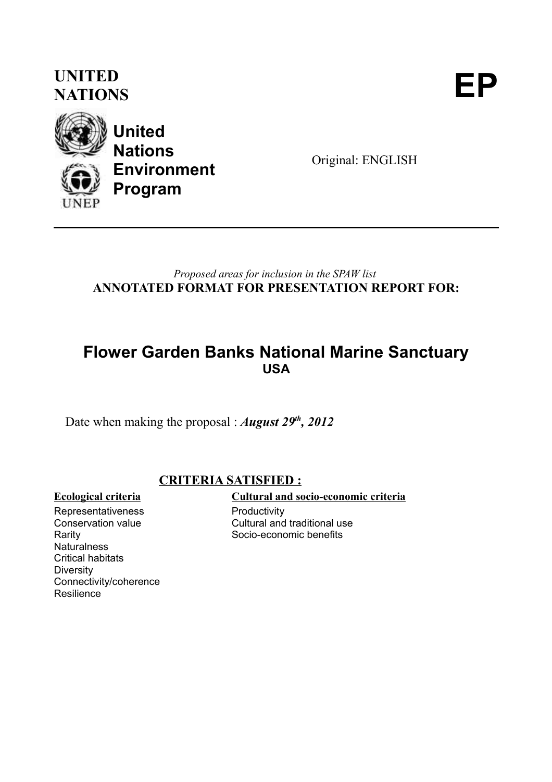# **UNITED** UNITED<br>NATIONS



**United Nations Environment Program**

Original: ENGLISH

*Proposed areas for inclusion in the SPAW list* **ANNOTATED FORMAT FOR PRESENTATION REPORT FOR:**

### **Flower Garden Banks National Marine Sanctuary USA**

Date when making the proposal : *August 29th, 2012*

### **CRITERIA SATISFIED :**

Representativeness Conservation value Rarity **Naturalness** Critical habitats **Diversity** Connectivity/coherence **Resilience** 

### **Ecological criteria Cultural and socio-economic criteria**

**Productivity** Cultural and traditional use Socio-economic benefits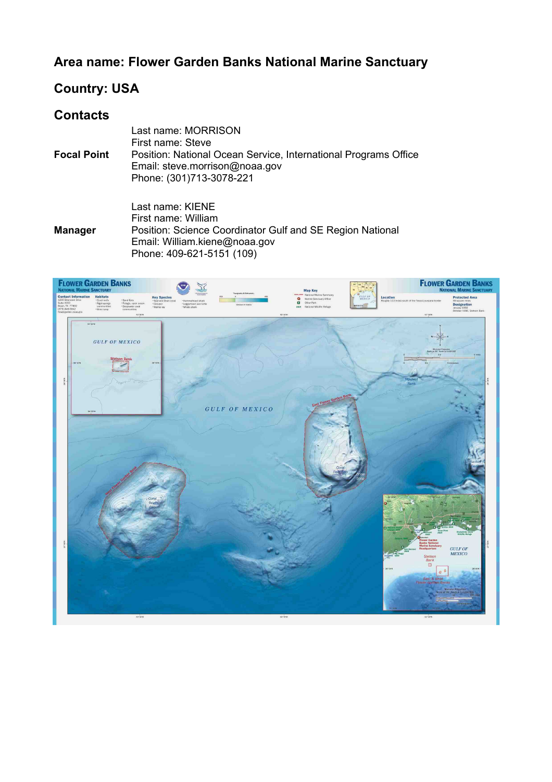### **Area name: Flower Garden Banks National Marine Sanctuary**

### **Country: USA**

### **Contacts**

|                    | Last name: MORRISON<br>First name: Steve                                                                                      |
|--------------------|-------------------------------------------------------------------------------------------------------------------------------|
| <b>Focal Point</b> | Position: National Ocean Service, International Programs Office<br>Email: steve.morrison@noaa.gov<br>Phone: (301)713-3078-221 |
|                    |                                                                                                                               |

**Manager** Last name: KIENE First name: William Position: Science Coordinator Gulf and SE Region National Email: William.kiene@noaa.gov Phone: 409-621-5151 (109)

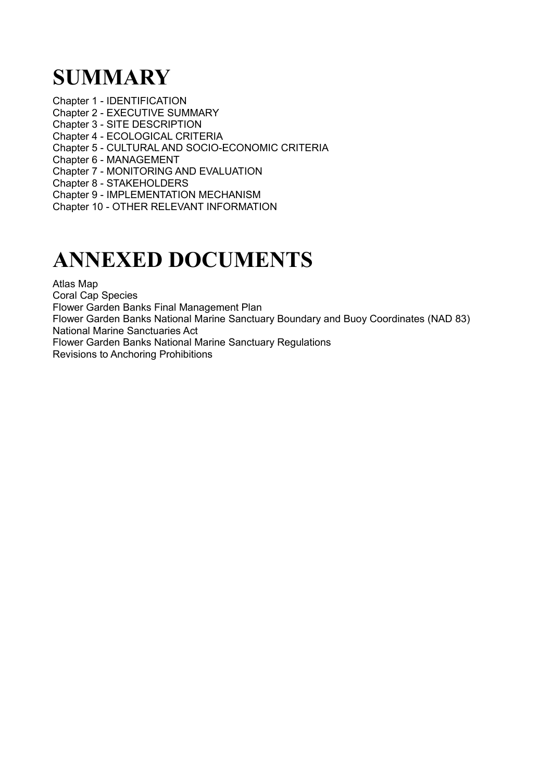# **SUMMARY**

Chapter 1 - IDENTIFICATION

- Chapter 2 EXECUTIVE SUMMARY
- Chapter 3 SITE DESCRIPTION
- Chapter 4 ECOLOGICAL CRITERIA
- Chapter 5 CULTURAL AND SOCIO-ECONOMIC CRITERIA
- Chapter 6 MANAGEMENT
- Chapter 7 MONITORING AND EVALUATION
- Chapter 8 STAKEHOLDERS
- Chapter 9 IMPLEMENTATION MECHANISM
- Chapter 10 OTHER RELEVANT INFORMATION

# **ANNEXED DOCUMENTS**

Atlas Map

Coral Cap Species

Flower Garden Banks Final Management Plan

Flower Garden Banks National Marine Sanctuary Boundary and Buoy Coordinates (NAD 83) National Marine Sanctuaries Act

Flower Garden Banks National Marine Sanctuary Regulations

Revisions to Anchoring Prohibitions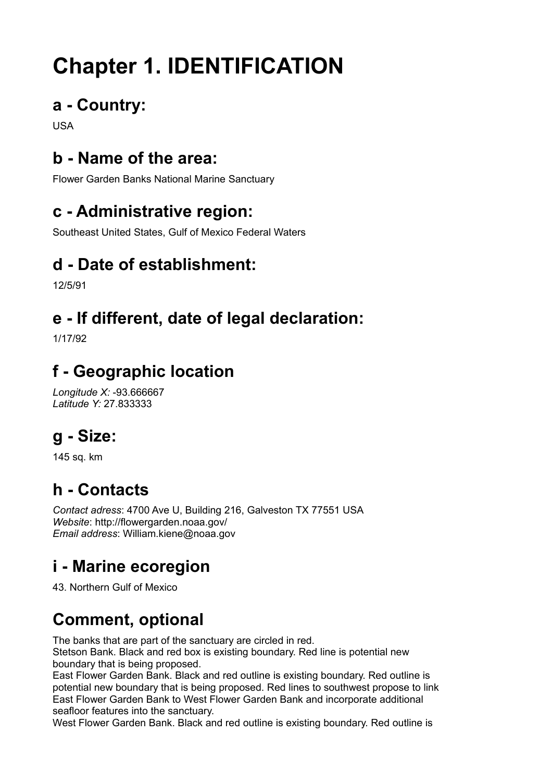# **Chapter 1. IDENTIFICATION**

# **a - Country:**

USA

# **b - Name of the area:**

Flower Garden Banks National Marine Sanctuary

# **c - Administrative region:**

Southeast United States, Gulf of Mexico Federal Waters

# **d - Date of establishment:**

12/5/91

# **e - If different, date of legal declaration:**

1/17/92

# **f - Geographic location**

*Longitude X:* -93.666667 *Latitude Y:* 27.833333

# **g - Size:**

145 sq. km

# **h - Contacts**

*Contact adress*: 4700 Ave U, Building 216, Galveston TX 77551 USA *Website*: http://flowergarden.noaa.gov/ *Email address*: William.kiene@noaa.gov

# **i - Marine ecoregion**

43. Northern Gulf of Mexico

# **Comment, optional**

The banks that are part of the sanctuary are circled in red. Stetson Bank. Black and red box is existing boundary. Red line is potential new boundary that is being proposed.

East Flower Garden Bank. Black and red outline is existing boundary. Red outline is potential new boundary that is being proposed. Red lines to southwest propose to link East Flower Garden Bank to West Flower Garden Bank and incorporate additional seafloor features into the sanctuary.

West Flower Garden Bank. Black and red outline is existing boundary. Red outline is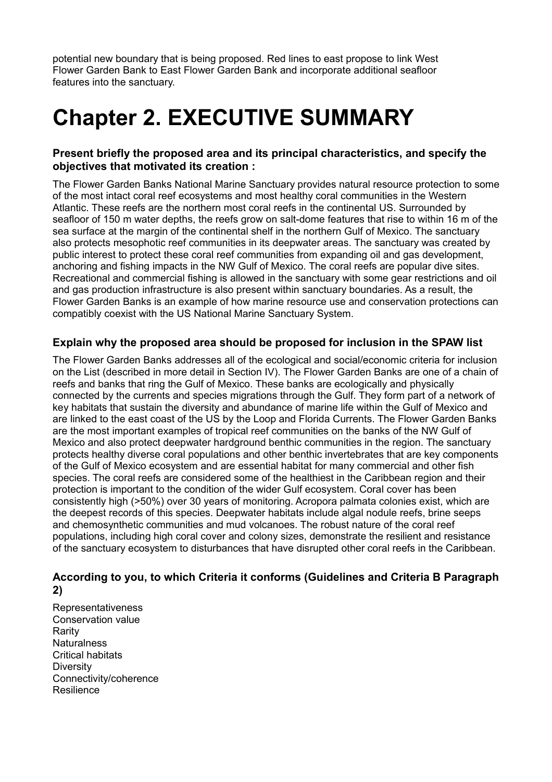potential new boundary that is being proposed. Red lines to east propose to link West Flower Garden Bank to East Flower Garden Bank and incorporate additional seafloor features into the sanctuary.

# **Chapter 2. EXECUTIVE SUMMARY**

### **Present briefly the proposed area and its principal characteristics, and specify the objectives that motivated its creation :**

The Flower Garden Banks National Marine Sanctuary provides natural resource protection to some of the most intact coral reef ecosystems and most healthy coral communities in the Western Atlantic. These reefs are the northern most coral reefs in the continental US. Surrounded by seafloor of 150 m water depths, the reefs grow on salt-dome features that rise to within 16 m of the sea surface at the margin of the continental shelf in the northern Gulf of Mexico. The sanctuary also protects mesophotic reef communities in its deepwater areas. The sanctuary was created by public interest to protect these coral reef communities from expanding oil and gas development, anchoring and fishing impacts in the NW Gulf of Mexico. The coral reefs are popular dive sites. Recreational and commercial fishing is allowed in the sanctuary with some gear restrictions and oil and gas production infrastructure is also present within sanctuary boundaries. As a result, the Flower Garden Banks is an example of how marine resource use and conservation protections can compatibly coexist with the US National Marine Sanctuary System.

### **Explain why the proposed area should be proposed for inclusion in the SPAW list**

The Flower Garden Banks addresses all of the ecological and social/economic criteria for inclusion on the List (described in more detail in Section IV). The Flower Garden Banks are one of a chain of reefs and banks that ring the Gulf of Mexico. These banks are ecologically and physically connected by the currents and species migrations through the Gulf. They form part of a network of key habitats that sustain the diversity and abundance of marine life within the Gulf of Mexico and are linked to the east coast of the US by the Loop and Florida Currents. The Flower Garden Banks are the most important examples of tropical reef communities on the banks of the NW Gulf of Mexico and also protect deepwater hardground benthic communities in the region. The sanctuary protects healthy diverse coral populations and other benthic invertebrates that are key components of the Gulf of Mexico ecosystem and are essential habitat for many commercial and other fish species. The coral reefs are considered some of the healthiest in the Caribbean region and their protection is important to the condition of the wider Gulf ecosystem. Coral cover has been consistently high (>50%) over 30 years of monitoring. Acropora palmata colonies exist, which are the deepest records of this species. Deepwater habitats include algal nodule reefs, brine seeps and chemosynthetic communities and mud volcanoes. The robust nature of the coral reef populations, including high coral cover and colony sizes, demonstrate the resilient and resistance of the sanctuary ecosystem to disturbances that have disrupted other coral reefs in the Caribbean.

### **According to you, to which Criteria it conforms (Guidelines and Criteria B Paragraph 2)**

Representativeness Conservation value Rarity **Naturalness** Critical habitats **Diversity** Connectivity/coherence Resilience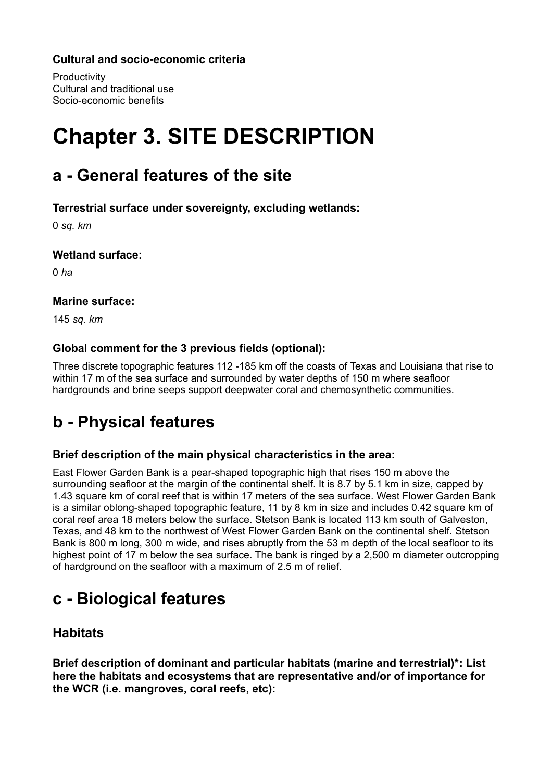### **Cultural and socio-economic criteria**

**Productivity** Cultural and traditional use Socio-economic benefits

# **Chapter 3. SITE DESCRIPTION**

## **a - General features of the site**

**Terrestrial surface under sovereignty, excluding wetlands:** 

0 *sq. km*

### **Wetland surface:**

0 *ha*

### **Marine surface:**

145 *sq. km*

### **Global comment for the 3 previous fields (optional):**

Three discrete topographic features 112 -185 km off the coasts of Texas and Louisiana that rise to within 17 m of the sea surface and surrounded by water depths of 150 m where seafloor hardgrounds and brine seeps support deepwater coral and chemosynthetic communities.

# **b - Physical features**

### **Brief description of the main physical characteristics in the area:**

East Flower Garden Bank is a pear-shaped topographic high that rises 150 m above the surrounding seafloor at the margin of the continental shelf. It is 8.7 by 5.1 km in size, capped by 1.43 square km of coral reef that is within 17 meters of the sea surface. West Flower Garden Bank is a similar oblong-shaped topographic feature, 11 by 8 km in size and includes 0.42 square km of coral reef area 18 meters below the surface. Stetson Bank is located 113 km south of Galveston, Texas, and 48 km to the northwest of West Flower Garden Bank on the continental shelf. Stetson Bank is 800 m long, 300 m wide, and rises abruptly from the 53 m depth of the local seafloor to its highest point of 17 m below the sea surface. The bank is ringed by a 2,500 m diameter outcropping of hardground on the seafloor with a maximum of 2.5 m of relief.

# **c - Biological features**

### **Habitats**

**Brief description of dominant and particular habitats (marine and terrestrial)\*: List here the habitats and ecosystems that are representative and/or of importance for the WCR (i.e. mangroves, coral reefs, etc):**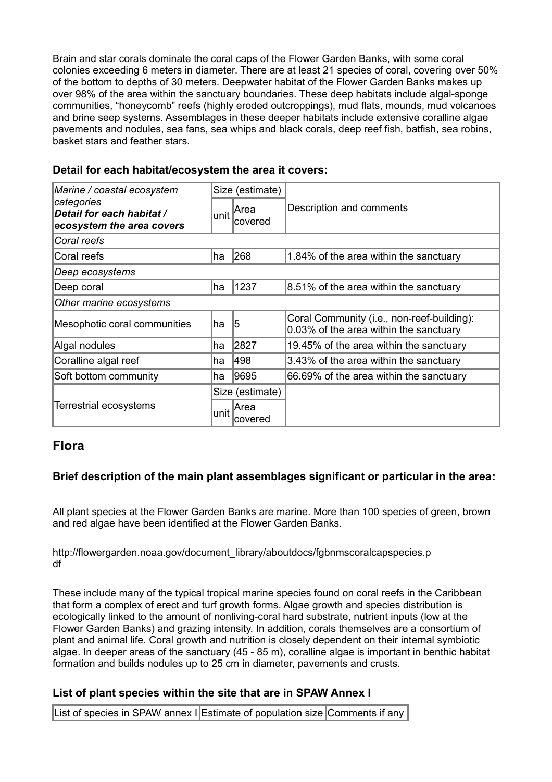Brain and star corals dominate the coral caps of the Flower Garden Banks, with some coral colonies exceeding 6 meters in diameter. There are at least 21 species of coral, covering over 50% of the bottom to depths of 30 meters. Deepwater habitat of the Flower Garden Banks makes up over 98% of the area within the sanctuary boundaries. These deep habitats include algal-sponge communities, "honeycomb" reefs (highly eroded outcroppings), mud flats, mounds, mud volcanoes and brine seep systems. Assemblages in these deeper habitats include extensive coralline algae pavements and nodules, sea fans, sea whips and black corals, deep reef fish, batfish, sea robins, basket stars and feather stars.

| Marine / coastal ecosystem<br>categories<br>Detail for each habitat /<br>ecosystem the area covers |      | Size (estimate)                         |                                                                                      |  |
|----------------------------------------------------------------------------------------------------|------|-----------------------------------------|--------------------------------------------------------------------------------------|--|
|                                                                                                    |      | $I$ <sub>unit</sub> $ Area$<br>lcovered | Description and comments                                                             |  |
| Coral reefs                                                                                        |      |                                         |                                                                                      |  |
| Coral reefs                                                                                        | ∣ha  | 268                                     | 1.84% of the area within the sanctuary                                               |  |
| Deep ecosystems                                                                                    |      |                                         |                                                                                      |  |
| Deep coral                                                                                         | ha   | 1237                                    | 8.51% of the area within the sanctuary                                               |  |
| Other marine ecosystems                                                                            |      |                                         |                                                                                      |  |
| Mesophotic coral communities                                                                       | ∣ha  | 15                                      | Coral Community (i.e., non-reef-building):<br>0.03% of the area within the sanctuary |  |
| Algal nodules                                                                                      | ∣ha  | 2827                                    | 19.45% of the area within the sanctuary                                              |  |
| Coralline algal reef                                                                               | ha   | 498                                     | 3.43% of the area within the sanctuary                                               |  |
| Soft bottom community                                                                              | ha   | 9695                                    | 66.69% of the area within the sanctuary                                              |  |
|                                                                                                    |      | Size (estimate)                         |                                                                                      |  |
| Terrestrial ecosystems                                                                             | unit | Area<br>covered                         |                                                                                      |  |

### **Detail for each habitat/ecosystem the area it covers:**

### **Flora**

### **Brief description of the main plant assemblages significant or particular in the area:**

All plant species at the Flower Garden Banks are marine. More than 100 species of green, brown and red algae have been identified at the Flower Garden Banks.

http://flowergarden.noaa.gov/document\_library/aboutdocs/fgbnmscoralcapspecies.p df

These include many of the typical tropical marine species found on coral reefs in the Caribbean that form a complex of erect and turf growth forms. Algae growth and species distribution is ecologically linked to the amount of nonliving-coral hard substrate, nutrient inputs (low at the Flower Garden Banks) and grazing intensity. In addition, corals themselves are a consortium of plant and animal life. Coral growth and nutrition is closely dependent on their internal symbiotic algae. In deeper areas of the sanctuary (45 - 85 m), coralline algae is important in benthic habitat formation and builds nodules up to 25 cm in diameter, pavements and crusts.

### **List of plant species within the site that are in SPAW Annex I**

List of species in SPAW annex I Estimate of population size Comments if any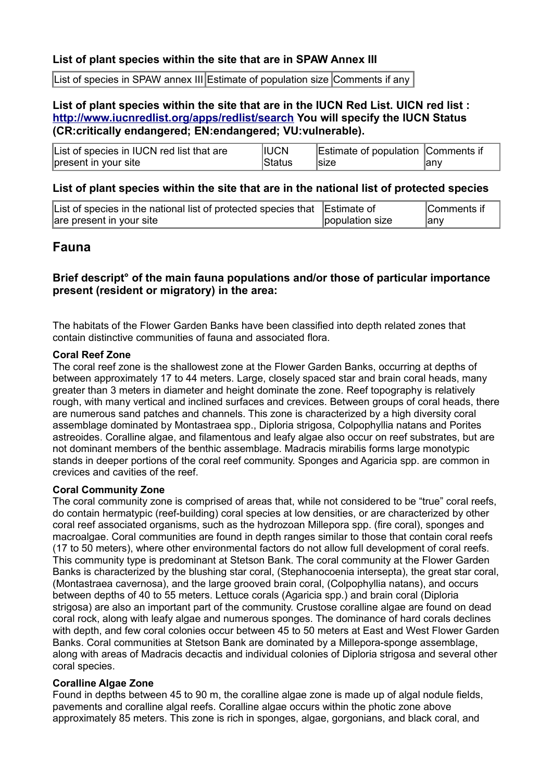### **List of plant species within the site that are in SPAW Annex III**

List of species in SPAW annex III Estimate of population size Comments if any

### **List of plant species within the site that are in the IUCN Red List. UICN red list : <http://www.iucnredlist.org/apps/redlist/search>You will specify the IUCN Status (CR:critically endangered; EN:endangered; VU:vulnerable).**

| List of species in IUCN red list that are | <b>IIUCN</b> | Estimate of population Comments if |      |
|-------------------------------------------|--------------|------------------------------------|------|
| present in your site                      | Status       | <b>Size</b>                        | lanv |

### **List of plant species within the site that are in the national list of protected species**

| List of species in the national list of protected species that Estimate of |                 | Comments if |
|----------------------------------------------------------------------------|-----------------|-------------|
| are present in your site                                                   | population size | lanv        |

### **Fauna**

### **Brief descript° of the main fauna populations and/or those of particular importance present (resident or migratory) in the area:**

The habitats of the Flower Garden Banks have been classified into depth related zones that contain distinctive communities of fauna and associated flora.

#### **Coral Reef Zone**

The coral reef zone is the shallowest zone at the Flower Garden Banks, occurring at depths of between approximately 17 to 44 meters. Large, closely spaced star and brain coral heads, many greater than 3 meters in diameter and height dominate the zone. Reef topography is relatively rough, with many vertical and inclined surfaces and crevices. Between groups of coral heads, there are numerous sand patches and channels. This zone is characterized by a high diversity coral assemblage dominated by Montastraea spp., Diploria strigosa, Colpophyllia natans and Porites astreoides. Coralline algae, and filamentous and leafy algae also occur on reef substrates, but are not dominant members of the benthic assemblage. Madracis mirabilis forms large monotypic stands in deeper portions of the coral reef community. Sponges and Agaricia spp. are common in crevices and cavities of the reef.

### **Coral Community Zone**

The coral community zone is comprised of areas that, while not considered to be "true" coral reefs, do contain hermatypic (reef-building) coral species at low densities, or are characterized by other coral reef associated organisms, such as the hydrozoan Millepora spp. (fire coral), sponges and macroalgae. Coral communities are found in depth ranges similar to those that contain coral reefs (17 to 50 meters), where other environmental factors do not allow full development of coral reefs. This community type is predominant at Stetson Bank. The coral community at the Flower Garden Banks is characterized by the blushing star coral, (Stephanocoenia intersepta), the great star coral, (Montastraea cavernosa), and the large grooved brain coral, (Colpophyllia natans), and occurs between depths of 40 to 55 meters. Lettuce corals (Agaricia spp.) and brain coral (Diploria strigosa) are also an important part of the community. Crustose coralline algae are found on dead coral rock, along with leafy algae and numerous sponges. The dominance of hard corals declines with depth, and few coral colonies occur between 45 to 50 meters at East and West Flower Garden Banks. Coral communities at Stetson Bank are dominated by a Millepora-sponge assemblage, along with areas of Madracis decactis and individual colonies of Diploria strigosa and several other coral species.

### **Coralline Algae Zone**

Found in depths between 45 to 90 m, the coralline algae zone is made up of algal nodule fields, pavements and coralline algal reefs. Coralline algae occurs within the photic zone above approximately 85 meters. This zone is rich in sponges, algae, gorgonians, and black coral, and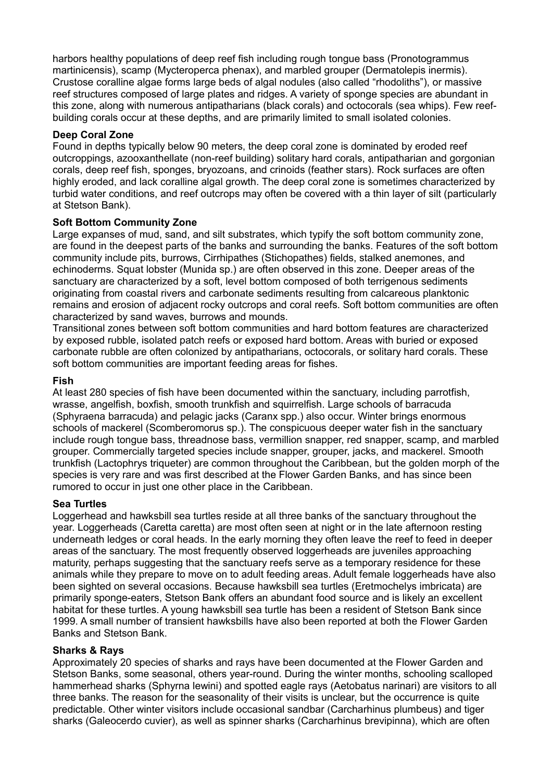harbors healthy populations of deep reef fish including rough tongue bass (Pronotogrammus martinicensis), scamp (Mycteroperca phenax), and marbled grouper (Dermatolepis inermis). Crustose coralline algae forms large beds of algal nodules (also called "rhodoliths"), or massive reef structures composed of large plates and ridges. A variety of sponge species are abundant in this zone, along with numerous antipatharians (black corals) and octocorals (sea whips). Few reefbuilding corals occur at these depths, and are primarily limited to small isolated colonies.

### **Deep Coral Zone**

Found in depths typically below 90 meters, the deep coral zone is dominated by eroded reef outcroppings, azooxanthellate (non-reef building) solitary hard corals, antipatharian and gorgonian corals, deep reef fish, sponges, bryozoans, and crinoids (feather stars). Rock surfaces are often highly eroded, and lack coralline algal growth. The deep coral zone is sometimes characterized by turbid water conditions, and reef outcrops may often be covered with a thin layer of silt (particularly at Stetson Bank).

### **Soft Bottom Community Zone**

Large expanses of mud, sand, and silt substrates, which typify the soft bottom community zone, are found in the deepest parts of the banks and surrounding the banks. Features of the soft bottom community include pits, burrows, Cirrhipathes (Stichopathes) fields, stalked anemones, and echinoderms. Squat lobster (Munida sp.) are often observed in this zone. Deeper areas of the sanctuary are characterized by a soft, level bottom composed of both terrigenous sediments originating from coastal rivers and carbonate sediments resulting from calcareous planktonic remains and erosion of adjacent rocky outcrops and coral reefs. Soft bottom communities are often characterized by sand waves, burrows and mounds.

Transitional zones between soft bottom communities and hard bottom features are characterized by exposed rubble, isolated patch reefs or exposed hard bottom. Areas with buried or exposed carbonate rubble are often colonized by antipatharians, octocorals, or solitary hard corals. These soft bottom communities are important feeding areas for fishes.

### **Fish**

At least 280 species of fish have been documented within the sanctuary, including parrotfish, wrasse, angelfish, boxfish, smooth trunkfish and squirrelfish. Large schools of barracuda (Sphyraena barracuda) and pelagic jacks (Caranx spp.) also occur. Winter brings enormous schools of mackerel (Scomberomorus sp.). The conspicuous deeper water fish in the sanctuary include rough tongue bass, threadnose bass, vermillion snapper, red snapper, scamp, and marbled grouper. Commercially targeted species include snapper, grouper, jacks, and mackerel. Smooth trunkfish (Lactophrys triqueter) are common throughout the Caribbean, but the golden morph of the species is very rare and was first described at the Flower Garden Banks, and has since been rumored to occur in just one other place in the Caribbean.

### **Sea Turtles**

Loggerhead and hawksbill sea turtles reside at all three banks of the sanctuary throughout the year. Loggerheads (Caretta caretta) are most often seen at night or in the late afternoon resting underneath ledges or coral heads. In the early morning they often leave the reef to feed in deeper areas of the sanctuary. The most frequently observed loggerheads are juveniles approaching maturity, perhaps suggesting that the sanctuary reefs serve as a temporary residence for these animals while they prepare to move on to adult feeding areas. Adult female loggerheads have also been sighted on several occasions. Because hawksbill sea turtles (Eretmochelys imbricata) are primarily sponge-eaters, Stetson Bank offers an abundant food source and is likely an excellent habitat for these turtles. A young hawksbill sea turtle has been a resident of Stetson Bank since 1999. A small number of transient hawksbills have also been reported at both the Flower Garden Banks and Stetson Bank.

### **Sharks & Rays**

Approximately 20 species of sharks and rays have been documented at the Flower Garden and Stetson Banks, some seasonal, others year-round. During the winter months, schooling scalloped hammerhead sharks (Sphyrna lewini) and spotted eagle rays (Aetobatus narinari) are visitors to all three banks. The reason for the seasonality of their visits is unclear, but the occurrence is quite predictable. Other winter visitors include occasional sandbar (Carcharhinus plumbeus) and tiger sharks (Galeocerdo cuvier), as well as spinner sharks (Carcharhinus brevipinna), which are often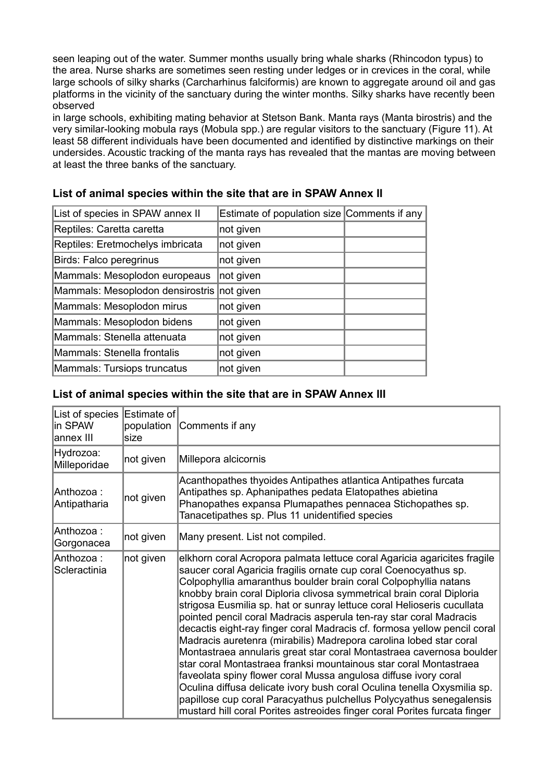seen leaping out of the water. Summer months usually bring whale sharks (Rhincodon typus) to the area. Nurse sharks are sometimes seen resting under ledges or in crevices in the coral, while large schools of silky sharks (Carcharhinus falciformis) are known to aggregate around oil and gas platforms in the vicinity of the sanctuary during the winter months. Silky sharks have recently been observed

in large schools, exhibiting mating behavior at Stetson Bank. Manta rays (Manta birostris) and the very similar-looking mobula rays (Mobula spp.) are regular visitors to the sanctuary (Figure 11). At least 58 different individuals have been documented and identified by distinctive markings on their undersides. Acoustic tracking of the manta rays has revealed that the mantas are moving between at least the three banks of the sanctuary.

| List of species in SPAW annex II | Estimate of population size Comments if any |  |
|----------------------------------|---------------------------------------------|--|
| Reptiles: Caretta caretta        | not given                                   |  |
| Reptiles: Eretmochelys imbricata | not given                                   |  |
| Birds: Falco peregrinus          | not given                                   |  |
| Mammals: Mesoplodon europeaus    | not given                                   |  |
| Mammals: Mesoplodon densirostris | not given                                   |  |
| Mammals: Mesoplodon mirus        | not given                                   |  |
| Mammals: Mesoplodon bidens       | not given                                   |  |
| Mammals: Stenella attenuata      | not given                                   |  |
| Mammals: Stenella frontalis      | not given                                   |  |
| Mammals: Tursiops truncatus      | not given                                   |  |

### **List of animal species within the site that are in SPAW Annex II**

### **List of animal species within the site that are in SPAW Annex III**

| List of species<br>in SPAW<br>annex III | Estimate of<br>population<br>size | Comments if any                                                                                                                                                                                                                                                                                                                                                                                                                                                                                                                                                                                                                                                                                                                                                                                                                                                                                                                                                                                                                          |  |
|-----------------------------------------|-----------------------------------|------------------------------------------------------------------------------------------------------------------------------------------------------------------------------------------------------------------------------------------------------------------------------------------------------------------------------------------------------------------------------------------------------------------------------------------------------------------------------------------------------------------------------------------------------------------------------------------------------------------------------------------------------------------------------------------------------------------------------------------------------------------------------------------------------------------------------------------------------------------------------------------------------------------------------------------------------------------------------------------------------------------------------------------|--|
| Hydrozoa:<br>Milleporidae               | not given                         | Millepora alcicornis                                                                                                                                                                                                                                                                                                                                                                                                                                                                                                                                                                                                                                                                                                                                                                                                                                                                                                                                                                                                                     |  |
| Anthozoa :<br>Antipatharia              | not given                         | Acanthopathes thyoides Antipathes atlantica Antipathes furcata<br>Antipathes sp. Aphanipathes pedata Elatopathes abietina<br>Phanopathes expansa Plumapathes pennacea Stichopathes sp.<br>Tanacetipathes sp. Plus 11 unidentified species                                                                                                                                                                                                                                                                                                                                                                                                                                                                                                                                                                                                                                                                                                                                                                                                |  |
| Anthozoa :<br>Gorgonacea                | not given                         | Many present. List not compiled.                                                                                                                                                                                                                                                                                                                                                                                                                                                                                                                                                                                                                                                                                                                                                                                                                                                                                                                                                                                                         |  |
| Anthozoa:<br>Scleractinia               | not given                         | elkhorn coral Acropora palmata lettuce coral Agaricia agaricites fragile<br>saucer coral Agaricia fragilis ornate cup coral Coenocyathus sp.<br>Colpophyllia amaranthus boulder brain coral Colpophyllia natans<br>knobby brain coral Diploria clivosa symmetrical brain coral Diploria<br>strigosa Eusmilia sp. hat or sunray lettuce coral Helioseris cucullata<br>pointed pencil coral Madracis asperula ten-ray star coral Madracis<br>decactis eight-ray finger coral Madracis cf. formosa yellow pencil coral<br>Madracis auretenra (mirabilis) Madrepora carolina lobed star coral<br>Montastraea annularis great star coral Montastraea cavernosa boulder<br>star coral Montastraea franksi mountainous star coral Montastraea<br>faveolata spiny flower coral Mussa angulosa diffuse ivory coral<br>Oculina diffusa delicate ivory bush coral Oculina tenella Oxysmilia sp.<br>papillose cup coral Paracyathus pulchellus Polycyathus senegalensis<br>mustard hill coral Porites astreoides finger coral Porites furcata finger |  |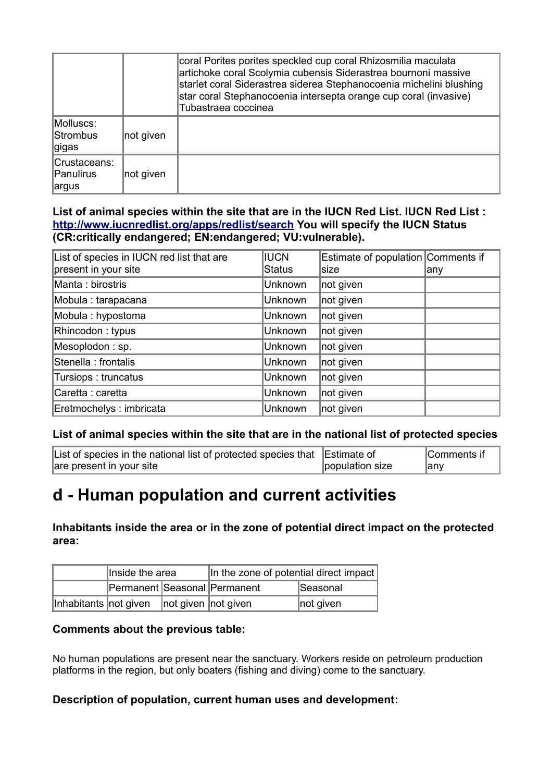|                                     |           | coral Porites porites speckled cup coral Rhizosmilia maculata<br>artichoke coral Scolymia cubensis Siderastrea bournoni massive<br>starlet coral Siderastrea siderea Stephanocoenia michelini blushing<br>star coral Stephanocoenia intersepta orange cup coral (invasive)<br>Tubastraea coccinea |
|-------------------------------------|-----------|---------------------------------------------------------------------------------------------------------------------------------------------------------------------------------------------------------------------------------------------------------------------------------------------------|
| Molluscs:<br>Strombus<br>∣gigas     | not given |                                                                                                                                                                                                                                                                                                   |
| Crustaceans:<br>Panulirus<br>∣argus | not given |                                                                                                                                                                                                                                                                                                   |

**List of animal species within the site that are in the IUCN Red List. IUCN Red List : <http://www.iucnredlist.org/apps/redlist/search>You will specify the IUCN Status (CR:critically endangered; EN:endangered; VU:vulnerable).**

| List of species in IUCN red list that are<br>present in your site | <b>IUCN</b><br>Status | Estimate of population Comments if<br>size | ∣any |
|-------------------------------------------------------------------|-----------------------|--------------------------------------------|------|
| Manta: birostris                                                  | Unknown               | not given                                  |      |
| Mobula : tarapacana                                               | Unknown               | not given                                  |      |
| Mobula: hypostoma                                                 | Unknown               | not given                                  |      |
| Rhincodon: typus                                                  | Unknown               | not given                                  |      |
| Mesoplodon: sp.                                                   | Unknown               | not given                                  |      |
| Stenella : frontalis                                              | Unknown               | not given                                  |      |
| Tursiops: truncatus                                               | Unknown               | not given                                  |      |
| Caretta: caretta                                                  | Unknown               | not given                                  |      |
| Eretmochelys: imbricata                                           | <b>Unknown</b>        | not given                                  |      |

### **List of animal species within the site that are in the national list of protected species**

| List of species in the national list of protected species that Estimate of |                 | Comments if |
|----------------------------------------------------------------------------|-----------------|-------------|
| are present in your site                                                   | population size | any         |

## **d - Human population and current activities**

**Inhabitants inside the area or in the zone of potential direct impact on the protected area:** 

|                                               | Inside the area              |  | In the zone of potential direct impact |           |  |
|-----------------------------------------------|------------------------------|--|----------------------------------------|-----------|--|
|                                               | Permanent Seasonal Permanent |  |                                        | Seasonal  |  |
| Inhabitants not given   not given   not given |                              |  |                                        | not given |  |

### **Comments about the previous table:**

No human populations are present near the sanctuary. Workers reside on petroleum production platforms in the region, but only boaters (fishing and diving) come to the sanctuary.

### **Description of population, current human uses and development:**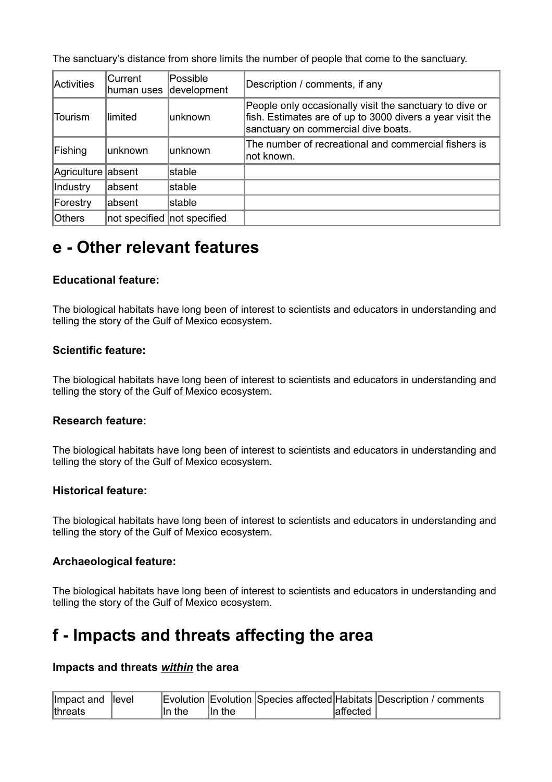The sanctuary's distance from shore limits the number of people that come to the sanctuary.

| Activities         | Current<br>lhuman uses | Possible<br>development       | Description / comments, if any                                                                                                                              |
|--------------------|------------------------|-------------------------------|-------------------------------------------------------------------------------------------------------------------------------------------------------------|
| Tourism            | llimited               | lunknown                      | People only occasionally visit the sanctuary to dive or<br>fish. Estimates are of up to 3000 divers a year visit the<br>sanctuary on commercial dive boats. |
| Fishing            | unknown                | unknown                       | The number of recreational and commercial fishers is<br>not known.                                                                                          |
| Agriculture absent |                        | stable                        |                                                                                                                                                             |
| Industry           | labsent                | stable                        |                                                                                                                                                             |
| Forestry           | labsent                | stable                        |                                                                                                                                                             |
| <b>Others</b>      |                        | not specified   not specified |                                                                                                                                                             |

## **e - Other relevant features**

### **Educational feature:**

The biological habitats have long been of interest to scientists and educators in understanding and telling the story of the Gulf of Mexico ecosystem.

### **Scientific feature:**

The biological habitats have long been of interest to scientists and educators in understanding and telling the story of the Gulf of Mexico ecosystem.

### **Research feature:**

The biological habitats have long been of interest to scientists and educators in understanding and telling the story of the Gulf of Mexico ecosystem.

### **Historical feature:**

The biological habitats have long been of interest to scientists and educators in understanding and telling the story of the Gulf of Mexico ecosystem.

### **Archaeological feature:**

The biological habitats have long been of interest to scientists and educators in understanding and telling the story of the Gulf of Mexico ecosystem.

## **f - Impacts and threats affecting the area**

### **Impacts and threats** *within* **the area**

| Impact and level       |           |        |          | Evolution Evolution Species affected Habitats Description / comments |
|------------------------|-----------|--------|----------|----------------------------------------------------------------------|
| <i><b>Ithreats</b></i> | $\ln$ the | ln the | affected |                                                                      |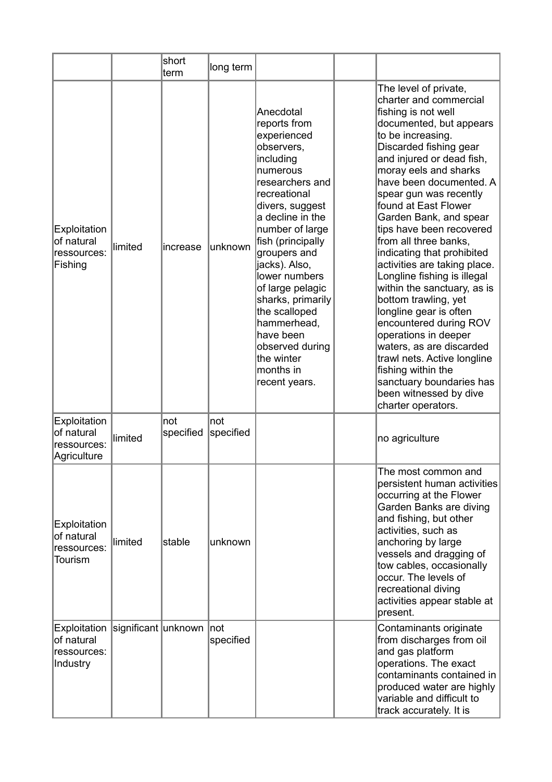|                                                                           |         | short<br>term    | long term        |                                                                                                                                                                                                                                                                                                                                                                                                          |                                                                                                                                                                                                                                                                                                                                                                                                                                                                                                                                                                                                                                                                                                                                                                 |
|---------------------------------------------------------------------------|---------|------------------|------------------|----------------------------------------------------------------------------------------------------------------------------------------------------------------------------------------------------------------------------------------------------------------------------------------------------------------------------------------------------------------------------------------------------------|-----------------------------------------------------------------------------------------------------------------------------------------------------------------------------------------------------------------------------------------------------------------------------------------------------------------------------------------------------------------------------------------------------------------------------------------------------------------------------------------------------------------------------------------------------------------------------------------------------------------------------------------------------------------------------------------------------------------------------------------------------------------|
| Exploitation<br>of natural<br>ressources:<br>Fishing                      | limited | increase         | unknown          | Anecdotal<br>reports from<br>experienced<br>observers,<br>including<br>numerous<br>researchers and<br>recreational<br>divers, suggest<br>a decline in the<br>number of large<br>fish (principally<br>groupers and<br>jacks). Also,<br>lower numbers<br>of large pelagic<br>sharks, primarily<br>the scalloped<br>hammerhead,<br>have been<br>observed during<br>the winter<br>months in<br>recent years. | The level of private,<br>charter and commercial<br>fishing is not well<br>documented, but appears<br>to be increasing.<br>Discarded fishing gear<br>and injured or dead fish,<br>moray eels and sharks<br>have been documented. A<br>spear gun was recently<br>found at East Flower<br>Garden Bank, and spear<br>tips have been recovered<br>from all three banks,<br>indicating that prohibited<br>activities are taking place.<br>Longline fishing is illegal<br>within the sanctuary, as is<br>bottom trawling, yet<br>longline gear is often<br>encountered during ROV<br>operations in deeper<br>waters, as are discarded<br>trawl nets. Active longline<br>fishing within the<br>sanctuary boundaries has<br>been witnessed by dive<br>charter operators. |
| Exploitation<br>of natural<br>ressources:<br>Agriculture                  | limited | not<br>specified | not<br>specified |                                                                                                                                                                                                                                                                                                                                                                                                          | no agriculture                                                                                                                                                                                                                                                                                                                                                                                                                                                                                                                                                                                                                                                                                                                                                  |
| Exploitation<br>of natural<br>ressources:<br>Tourism                      | limited | stable           | unknown          |                                                                                                                                                                                                                                                                                                                                                                                                          | The most common and<br>persistent human activities<br>occurring at the Flower<br>Garden Banks are diving<br>and fishing, but other<br>activities, such as<br>anchoring by large<br>vessels and dragging of<br>tow cables, occasionally<br>occur. The levels of<br>recreational diving<br>activities appear stable at<br>present.                                                                                                                                                                                                                                                                                                                                                                                                                                |
| Exploitation significant unknown<br>of natural<br>ressources:<br>Industry |         |                  | not<br>specified |                                                                                                                                                                                                                                                                                                                                                                                                          | Contaminants originate<br>from discharges from oil<br>and gas platform<br>operations. The exact<br>contaminants contained in<br>produced water are highly<br>variable and difficult to<br>track accurately. It is                                                                                                                                                                                                                                                                                                                                                                                                                                                                                                                                               |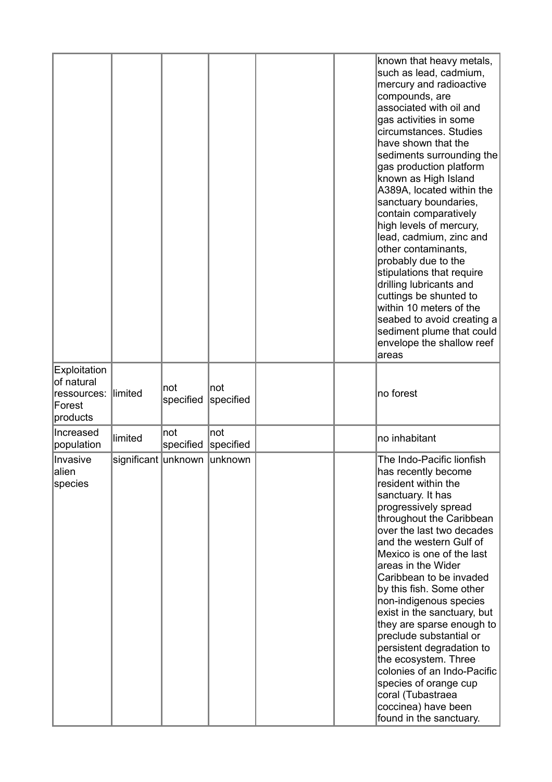|                                                                        |                             |                  |                   |  | known that heavy metals,<br>such as lead, cadmium,<br>mercury and radioactive<br>compounds, are<br>associated with oil and<br>gas activities in some<br>circumstances. Studies<br>have shown that the<br>sediments surrounding the<br>gas production platform<br>known as High Island<br>A389A, located within the<br>sanctuary boundaries,<br>contain comparatively<br>high levels of mercury,<br>lead, cadmium, zinc and<br>other contaminants,<br>probably due to the<br>stipulations that require<br>drilling lubricants and<br>cuttings be shunted to<br>within 10 meters of the<br>seabed to avoid creating a<br>sediment plume that could<br>envelope the shallow reef<br>areas |
|------------------------------------------------------------------------|-----------------------------|------------------|-------------------|--|----------------------------------------------------------------------------------------------------------------------------------------------------------------------------------------------------------------------------------------------------------------------------------------------------------------------------------------------------------------------------------------------------------------------------------------------------------------------------------------------------------------------------------------------------------------------------------------------------------------------------------------------------------------------------------------|
| <b>Exploitation</b><br>of natural<br>ressources:<br>Forest<br>products | llimited                    | not<br>specified | Inot<br>specified |  | no forest                                                                                                                                                                                                                                                                                                                                                                                                                                                                                                                                                                                                                                                                              |
| Increased<br>population                                                | limited                     | not<br>specified | ∣not<br>specified |  | no inhabitant                                                                                                                                                                                                                                                                                                                                                                                                                                                                                                                                                                                                                                                                          |
| Invasive<br> alien<br>species                                          | significant unknown unknown |                  |                   |  | The Indo-Pacific lionfish<br>has recently become<br>resident within the<br>sanctuary. It has<br>progressively spread<br>throughout the Caribbean<br>over the last two decades<br>and the western Gulf of<br>Mexico is one of the last<br>areas in the Wider<br>Caribbean to be invaded<br>by this fish. Some other<br>non-indigenous species<br>exist in the sanctuary, but<br>they are sparse enough to<br>preclude substantial or<br>persistent degradation to<br>the ecosystem. Three<br>colonies of an Indo-Pacific<br>species of orange cup<br>coral (Tubastraea<br>coccinea) have been<br>found in the sanctuary.                                                                |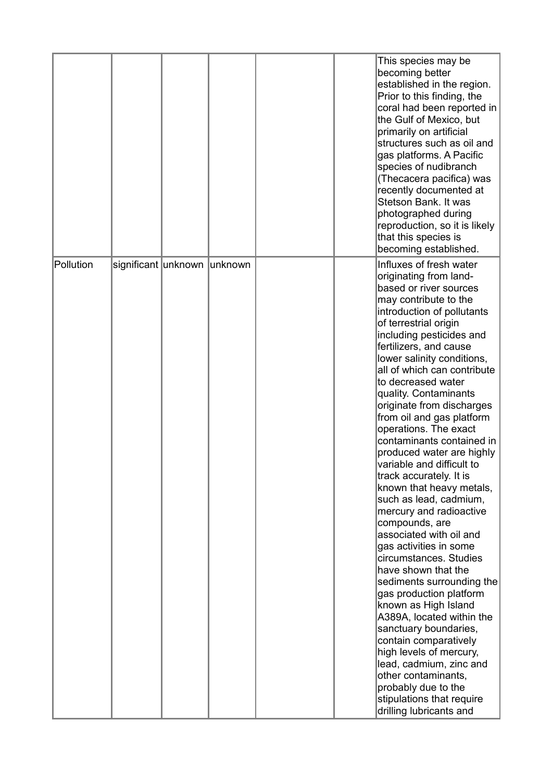|           |                             |  |  | This species may be<br>becoming better<br>established in the region.<br>Prior to this finding, the<br>coral had been reported in<br>the Gulf of Mexico, but<br>primarily on artificial<br>structures such as oil and<br>gas platforms. A Pacific<br>species of nudibranch<br>(Thecacera pacifica) was<br>recently documented at<br>Stetson Bank. It was<br>photographed during<br>reproduction, so it is likely<br>that this species is<br>becoming established.                                                                                                                                                                                                                                                                                                                                                                                                                                                                                                                                                                                                       |
|-----------|-----------------------------|--|--|------------------------------------------------------------------------------------------------------------------------------------------------------------------------------------------------------------------------------------------------------------------------------------------------------------------------------------------------------------------------------------------------------------------------------------------------------------------------------------------------------------------------------------------------------------------------------------------------------------------------------------------------------------------------------------------------------------------------------------------------------------------------------------------------------------------------------------------------------------------------------------------------------------------------------------------------------------------------------------------------------------------------------------------------------------------------|
| Pollution | significant unknown unknown |  |  | Influxes of fresh water<br>originating from land-<br>based or river sources<br>may contribute to the<br>introduction of pollutants<br>of terrestrial origin<br>including pesticides and<br>fertilizers, and cause<br>lower salinity conditions,<br>all of which can contribute<br>to decreased water<br>quality. Contaminants<br>originate from discharges<br>from oil and gas platform<br>operations. The exact<br>contaminants contained in<br>produced water are highly<br>variable and difficult to<br>track accurately. It is<br>known that heavy metals,<br>such as lead, cadmium,<br>mercury and radioactive<br>compounds, are<br>associated with oil and<br>gas activities in some<br>circumstances. Studies<br>have shown that the<br>sediments surrounding the<br>gas production platform<br>known as High Island<br>A389A, located within the<br>sanctuary boundaries,<br>contain comparatively<br>high levels of mercury,<br>lead, cadmium, zinc and<br>other contaminants,<br>probably due to the<br>stipulations that require<br>drilling lubricants and |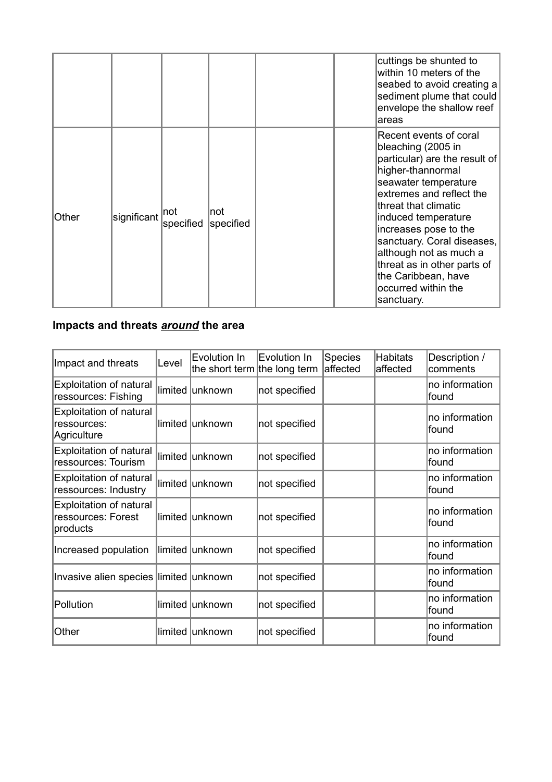|       |             |                  |                   |  | cuttings be shunted to<br>within 10 meters of the<br>seabed to avoid creating a<br>sediment plume that could<br>envelope the shallow reef<br>areas                                                                                                                                                                                                                                |
|-------|-------------|------------------|-------------------|--|-----------------------------------------------------------------------------------------------------------------------------------------------------------------------------------------------------------------------------------------------------------------------------------------------------------------------------------------------------------------------------------|
| Other | significant | not<br>specified | ∣not<br>specified |  | Recent events of coral<br>bleaching (2005 in<br>particular) are the result of<br>higher-thannormal<br>seawater temperature<br>extremes and reflect the<br>threat that climatic<br>induced temperature<br>increases pose to the<br>sanctuary. Coral diseases,<br>although not as much a<br>threat as in other parts of<br>the Caribbean, have<br>occurred within the<br>sanctuary. |

### **Impacts and threats** *around* **the area**

| Impact and threats                                               | Level | Evolution In<br>the short term the long term | Evolution In  | Species<br>affected | <b>Habitats</b><br>affected | Description /<br>comments |
|------------------------------------------------------------------|-------|----------------------------------------------|---------------|---------------------|-----------------------------|---------------------------|
| <b>Exploitation of natural</b><br>ressources: Fishing            |       | limited unknown                              | not specified |                     |                             | no information<br>found   |
| <b>Exploitation of natural</b><br>ressources:<br>Agriculture     |       | limited lunknown                             | not specified |                     |                             | no information<br>lfound  |
| <b>Exploitation of natural</b><br>ressources: Tourism            |       | limited unknown                              | not specified |                     |                             | no information<br>found   |
| <b>Exploitation of natural</b><br>ressources: Industry           |       | limited unknown                              | not specified |                     |                             | no information<br>found   |
| <b>Exploitation of natural</b><br>ressources: Forest<br>products |       | limited unknown                              | not specified |                     |                             | no information<br>found   |
| Increased population                                             |       | limited unknown                              | not specified |                     |                             | no information<br>found   |
| Invasive alien species limited unknown                           |       |                                              | not specified |                     |                             | no information<br>found   |
| Pollution                                                        |       | limited unknown                              | not specified |                     |                             | no information<br>found   |
| Other                                                            |       | limited unknown                              | not specified |                     |                             | no information<br>found   |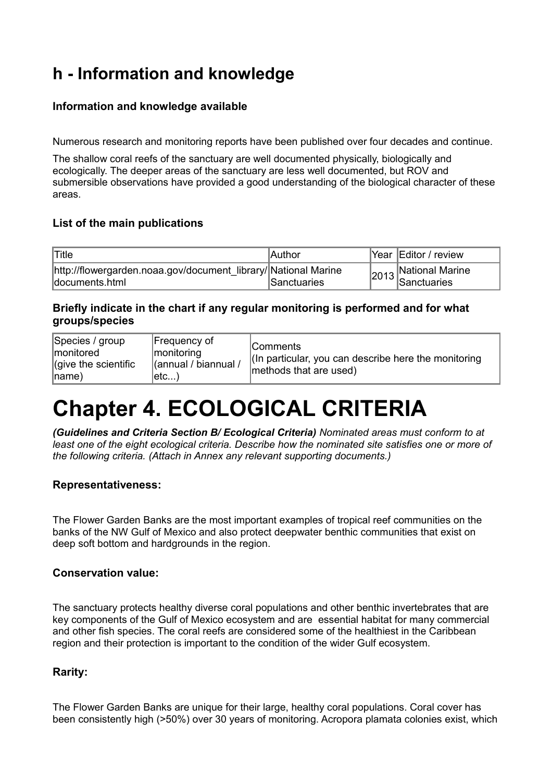# **h - Information and knowledge**

### **Information and knowledge available**

Numerous research and monitoring reports have been published over four decades and continue.

The shallow coral reefs of the sanctuary are well documented physically, biologically and ecologically. The deeper areas of the sanctuary are less well documented, but ROV and submersible observations have provided a good understanding of the biological character of these areas.

### **List of the main publications**

| Title                                                                            | Author      | Year Editor / review   |
|----------------------------------------------------------------------------------|-------------|------------------------|
| http://flowergarden.noaa.gov/document library/ National Marine<br>documents.html | Sanctuaries | $2013$ National Marine |

### **Briefly indicate in the chart if any regular monitoring is performed and for what groups/species**

| Species / group<br> monitored<br>$ $ (give the scientific<br>$ name\rangle$ | Frequency of<br> monitoring <br>(annual / biannual /<br>∣etc) | <b>Comments</b><br>(In particular, you can describe here the monitoring<br>methods that are used) |
|-----------------------------------------------------------------------------|---------------------------------------------------------------|---------------------------------------------------------------------------------------------------|
|-----------------------------------------------------------------------------|---------------------------------------------------------------|---------------------------------------------------------------------------------------------------|

# **Chapter 4. ECOLOGICAL CRITERIA**

*(Guidelines and Criteria Section B/ Ecological Criteria) Nominated areas must conform to at least one of the eight ecological criteria. Describe how the nominated site satisfies one or more of the following criteria. (Attach in Annex any relevant supporting documents.)*

### **Representativeness:**

The Flower Garden Banks are the most important examples of tropical reef communities on the banks of the NW Gulf of Mexico and also protect deepwater benthic communities that exist on deep soft bottom and hardgrounds in the region.

### **Conservation value:**

The sanctuary protects healthy diverse coral populations and other benthic invertebrates that are key components of the Gulf of Mexico ecosystem and are essential habitat for many commercial and other fish species. The coral reefs are considered some of the healthiest in the Caribbean region and their protection is important to the condition of the wider Gulf ecosystem.

### **Rarity:**

The Flower Garden Banks are unique for their large, healthy coral populations. Coral cover has been consistently high (>50%) over 30 years of monitoring. Acropora plamata colonies exist, which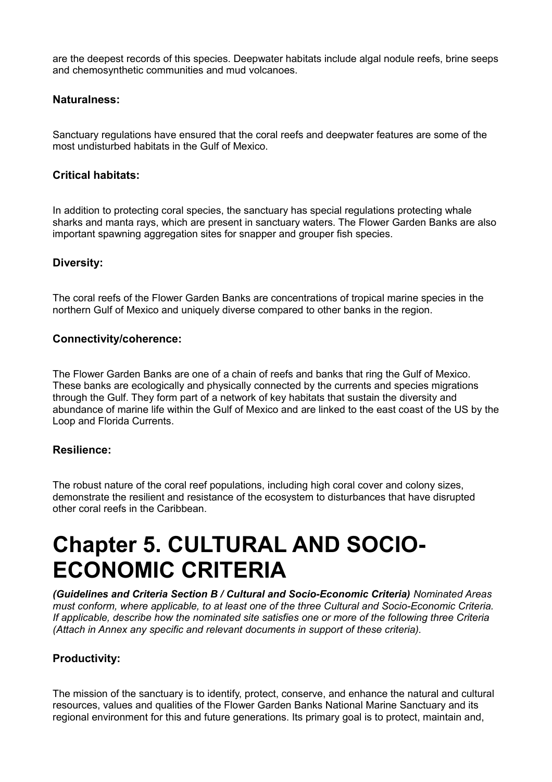are the deepest records of this species. Deepwater habitats include algal nodule reefs, brine seeps and chemosynthetic communities and mud volcanoes.

### **Naturalness:**

Sanctuary regulations have ensured that the coral reefs and deepwater features are some of the most undisturbed habitats in the Gulf of Mexico.

### **Critical habitats:**

In addition to protecting coral species, the sanctuary has special regulations protecting whale sharks and manta rays, which are present in sanctuary waters. The Flower Garden Banks are also important spawning aggregation sites for snapper and grouper fish species.

### **Diversity:**

The coral reefs of the Flower Garden Banks are concentrations of tropical marine species in the northern Gulf of Mexico and uniquely diverse compared to other banks in the region.

### **Connectivity/coherence:**

The Flower Garden Banks are one of a chain of reefs and banks that ring the Gulf of Mexico. These banks are ecologically and physically connected by the currents and species migrations through the Gulf. They form part of a network of key habitats that sustain the diversity and abundance of marine life within the Gulf of Mexico and are linked to the east coast of the US by the Loop and Florida Currents.

### **Resilience:**

The robust nature of the coral reef populations, including high coral cover and colony sizes, demonstrate the resilient and resistance of the ecosystem to disturbances that have disrupted other coral reefs in the Caribbean.

# **Chapter 5. CULTURAL AND SOCIO-ECONOMIC CRITERIA**

*(Guidelines and Criteria Section B / Cultural and Socio-Economic Criteria) Nominated Areas must conform, where applicable, to at least one of the three Cultural and Socio-Economic Criteria. If applicable, describe how the nominated site satisfies one or more of the following three Criteria (Attach in Annex any specific and relevant documents in support of these criteria).*

### **Productivity:**

The mission of the sanctuary is to identify, protect, conserve, and enhance the natural and cultural resources, values and qualities of the Flower Garden Banks National Marine Sanctuary and its regional environment for this and future generations. Its primary goal is to protect, maintain and,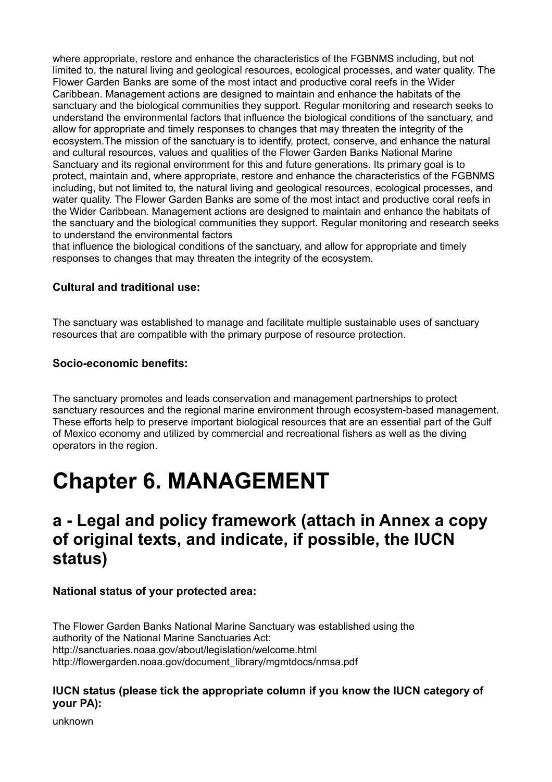where appropriate, restore and enhance the characteristics of the FGBNMS including, but not limited to, the natural living and geological resources, ecological processes, and water quality. The Flower Garden Banks are some of the most intact and productive coral reefs in the Wider Caribbean. Management actions are designed to maintain and enhance the habitats of the sanctuary and the biological communities they support. Regular monitoring and research seeks to understand the environmental factors that influence the biological conditions of the sanctuary, and allow for appropriate and timely responses to changes that may threaten the integrity of the ecosystem.The mission of the sanctuary is to identify, protect, conserve, and enhance the natural and cultural resources, values and qualities of the Flower Garden Banks National Marine Sanctuary and its regional environment for this and future generations. Its primary goal is to protect, maintain and, where appropriate, restore and enhance the characteristics of the FGBNMS including, but not limited to, the natural living and geological resources, ecological processes, and water quality. The Flower Garden Banks are some of the most intact and productive coral reefs in the Wider Caribbean. Management actions are designed to maintain and enhance the habitats of the sanctuary and the biological communities they support. Regular monitoring and research seeks to understand the environmental factors

that influence the biological conditions of the sanctuary, and allow for appropriate and timely responses to changes that may threaten the integrity of the ecosystem.

### **Cultural and traditional use:**

The sanctuary was established to manage and facilitate multiple sustainable uses of sanctuary resources that are compatible with the primary purpose of resource protection.

### **Socio-economic benefits:**

The sanctuary promotes and leads conservation and management partnerships to protect sanctuary resources and the regional marine environment through ecosystem-based management. These efforts help to preserve important biological resources that are an essential part of the Gulf of Mexico economy and utilized by commercial and recreational fishers as well as the diving operators in the region.

# **Chapter 6. MANAGEMENT**

## **a - Legal and policy framework (attach in Annex a copy of original texts, and indicate, if possible, the IUCN status)**

### **National status of your protected area:**

The Flower Garden Banks National Marine Sanctuary was established using the authority of the National Marine Sanctuaries Act: http://sanctuaries.noaa.gov/about/legislation/welcome.html http://flowergarden.noaa.gov/document\_library/mgmtdocs/nmsa.pdf

### **IUCN status (please tick the appropriate column if you know the IUCN category of your PA):**

unknown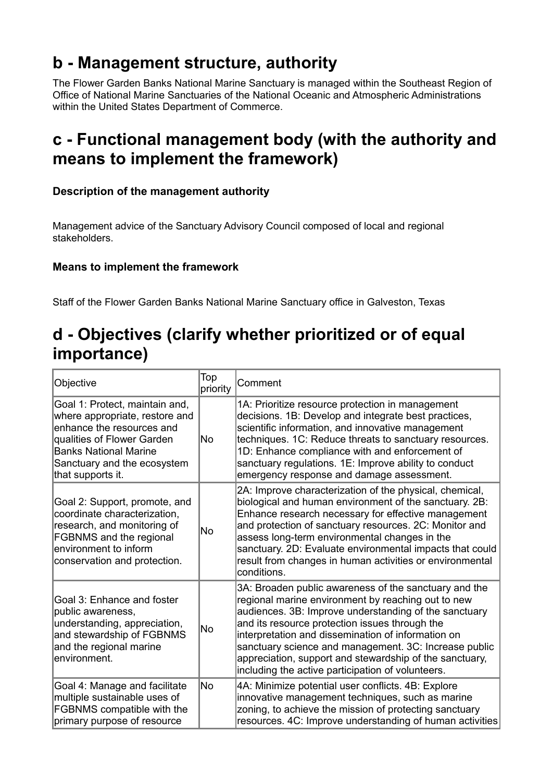# **b - Management structure, authority**

The Flower Garden Banks National Marine Sanctuary is managed within the Southeast Region of Office of National Marine Sanctuaries of the National Oceanic and Atmospheric Administrations within the United States Department of Commerce.

# **c - Functional management body (with the authority and means to implement the framework)**

### **Description of the management authority**

Management advice of the Sanctuary Advisory Council composed of local and regional stakeholders.

### **Means to implement the framework**

Staff of the Flower Garden Banks National Marine Sanctuary office in Galveston, Texas

# **d - Objectives (clarify whether prioritized or of equal importance)**

| Objective                                                                                                                                                                                                       | Top<br>priority | Comment                                                                                                                                                                                                                                                                                                                                                                                                                                               |
|-----------------------------------------------------------------------------------------------------------------------------------------------------------------------------------------------------------------|-----------------|-------------------------------------------------------------------------------------------------------------------------------------------------------------------------------------------------------------------------------------------------------------------------------------------------------------------------------------------------------------------------------------------------------------------------------------------------------|
| Goal 1: Protect, maintain and,<br>where appropriate, restore and<br>enhance the resources and<br>qualities of Flower Garden<br><b>Banks National Marine</b><br>Sanctuary and the ecosystem<br>that supports it. | No              | 1A: Prioritize resource protection in management<br>decisions. 1B: Develop and integrate best practices,<br>scientific information, and innovative management<br>techniques. 1C: Reduce threats to sanctuary resources.<br>1D: Enhance compliance with and enforcement of<br>sanctuary regulations. 1E: Improve ability to conduct<br>emergency response and damage assessment.                                                                       |
| Goal 2: Support, promote, and<br>coordinate characterization,<br>research, and monitoring of<br>FGBNMS and the regional<br>environment to inform<br>conservation and protection.                                | <b>No</b>       | 2A: Improve characterization of the physical, chemical,<br>biological and human environment of the sanctuary. 2B:<br>Enhance research necessary for effective management<br>and protection of sanctuary resources. 2C: Monitor and<br>assess long-term environmental changes in the<br>sanctuary. 2D: Evaluate environmental impacts that could<br>result from changes in human activities or environmental<br>conditions.                            |
| Goal 3: Enhance and foster<br>public awareness,<br>understanding, appreciation,<br>and stewardship of FGBNMS<br>and the regional marine<br>environment.                                                         | No              | 3A: Broaden public awareness of the sanctuary and the<br>regional marine environment by reaching out to new<br>audiences. 3B: Improve understanding of the sanctuary<br>and its resource protection issues through the<br>interpretation and dissemination of information on<br>sanctuary science and management. 3C: Increase public<br>appreciation, support and stewardship of the sanctuary,<br>including the active participation of volunteers. |
| Goal 4: Manage and facilitate<br>multiple sustainable uses of<br>FGBNMS compatible with the<br>primary purpose of resource                                                                                      | <b>No</b>       | 4A: Minimize potential user conflicts. 4B: Explore<br>innovative management techniques, such as marine<br>zoning, to achieve the mission of protecting sanctuary<br>resources. 4C: Improve understanding of human activities                                                                                                                                                                                                                          |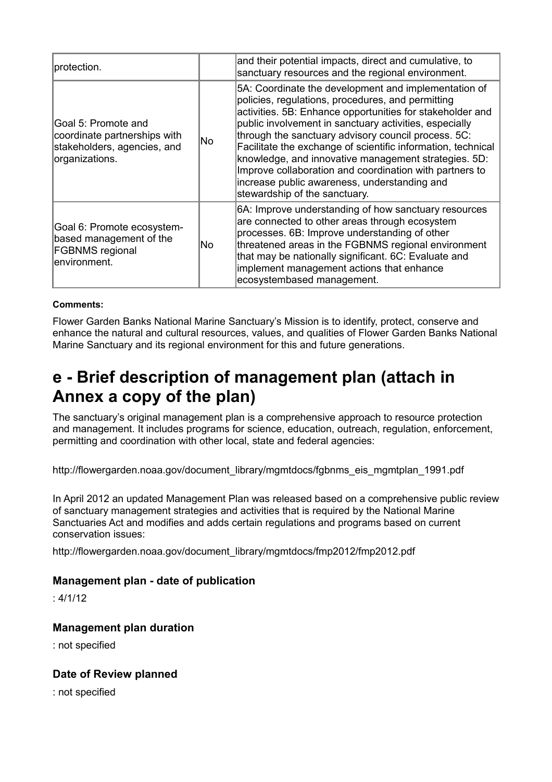| protection.                                                                                                       |    | and their potential impacts, direct and cumulative, to<br>sanctuary resources and the regional environment.                                                                                                                                                                                                                                                                                                                                                                                                                                                 |
|-------------------------------------------------------------------------------------------------------------------|----|-------------------------------------------------------------------------------------------------------------------------------------------------------------------------------------------------------------------------------------------------------------------------------------------------------------------------------------------------------------------------------------------------------------------------------------------------------------------------------------------------------------------------------------------------------------|
| Goal 5: Promote and<br>coordinate partnerships with<br><b>No</b><br>stakeholders, agencies, and<br>organizations. |    | 5A: Coordinate the development and implementation of<br>policies, regulations, procedures, and permitting<br>activities. 5B: Enhance opportunities for stakeholder and<br>public involvement in sanctuary activities, especially<br>through the sanctuary advisory council process. 5C:<br>Facilitate the exchange of scientific information, technical<br>knowledge, and innovative management strategies. 5D:<br>Improve collaboration and coordination with partners to<br>increase public awareness, understanding and<br>stewardship of the sanctuary. |
| Goal 6: Promote ecosystem-<br>based management of the<br><b>FGBNMS</b> regional<br>environment.                   | No | 6A: Improve understanding of how sanctuary resources<br>are connected to other areas through ecosystem<br>processes. 6B: Improve understanding of other<br>threatened areas in the FGBNMS regional environment<br>that may be nationally significant. 6C: Evaluate and<br>implement management actions that enhance<br>ecosystembased management.                                                                                                                                                                                                           |

#### **Comments:**

Flower Garden Banks National Marine Sanctuary's Mission is to identify, protect, conserve and enhance the natural and cultural resources, values, and qualities of Flower Garden Banks National Marine Sanctuary and its regional environment for this and future generations.

## **e - Brief description of management plan (attach in Annex a copy of the plan)**

The sanctuary's original management plan is a comprehensive approach to resource protection and management. It includes programs for science, education, outreach, regulation, enforcement, permitting and coordination with other local, state and federal agencies:

http://flowergarden.noaa.gov/document\_library/mgmtdocs/fgbnms\_eis\_mgmtplan\_1991.pdf

In April 2012 an updated Management Plan was released based on a comprehensive public review of sanctuary management strategies and activities that is required by the National Marine Sanctuaries Act and modifies and adds certain regulations and programs based on current conservation issues:

http://flowergarden.noaa.gov/document\_library/mgmtdocs/fmp2012/fmp2012.pdf

### **Management plan - date of publication**

: 4/1/12

### **Management plan duration**

: not specified

### **Date of Review planned**

: not specified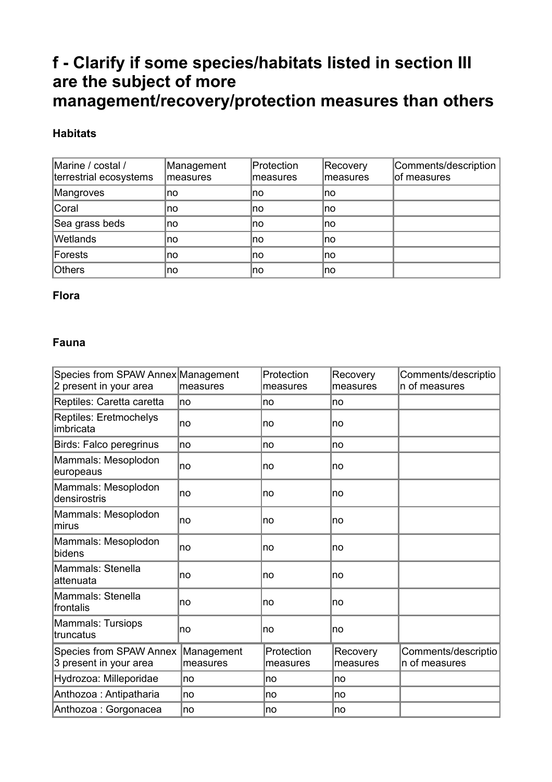# **f - Clarify if some species/habitats listed in section III are the subject of more management/recovery/protection measures than others**

### **Habitats**

| Marine / costal /<br>terrestrial ecosystems | Management<br>measures | Protection<br>measures | Recovery<br>measures | Comments/description<br>of measures |
|---------------------------------------------|------------------------|------------------------|----------------------|-------------------------------------|
| Mangroves                                   | no                     | no                     | Ino                  |                                     |
| Coral                                       | no                     | no                     | Ino                  |                                     |
| Sea grass beds                              | no                     | no                     | Ino                  |                                     |
| <b>Wetlands</b>                             | no                     | no                     | Ino                  |                                     |
| Forests                                     | no                     | no                     | ∣no                  |                                     |
| Others                                      | no                     | Ino                    | Ino                  |                                     |

### **Flora**

### **Fauna**

| Species from SPAW Annex Management<br>2 present in your area | measures               | Protection<br>measures | Recovery<br>measures | Comments/descriptio<br>n of measures |
|--------------------------------------------------------------|------------------------|------------------------|----------------------|--------------------------------------|
| Reptiles: Caretta caretta                                    | no                     | no                     | no                   |                                      |
| Reptiles: Eretmochelys<br>imbricata                          | no                     | no                     | no                   |                                      |
| Birds: Falco peregrinus                                      | no                     | no                     | no                   |                                      |
| Mammals: Mesoplodon<br>europeaus                             | no                     | no                     | no                   |                                      |
| Mammals: Mesoplodon<br>densirostris                          | no                     | no                     | no                   |                                      |
| Mammals: Mesoplodon<br>mirus                                 | no                     | no                     | no                   |                                      |
| Mammals: Mesoplodon<br>bidens                                | no                     | no                     | no                   |                                      |
| Mammals: Stenella<br>attenuata                               | no                     | no                     | no                   |                                      |
| Mammals: Stenella<br>Ifrontalis                              | no                     | no                     | no                   |                                      |
| Mammals: Tursiops<br>Itruncatus                              | no                     | no                     | no                   |                                      |
| <b>Species from SPAW Annex</b><br>3 present in your area     | Management<br>measures | Protection<br>measures | Recovery<br>measures | Comments/descriptio<br>n of measures |
| Hydrozoa: Milleporidae                                       | Ino                    | no                     | Ino                  |                                      |
| Anthozoa: Antipatharia                                       | Ino                    | no                     | Ino                  |                                      |
| Anthozoa : Gorgonacea                                        | ∣no                    | no                     | no                   |                                      |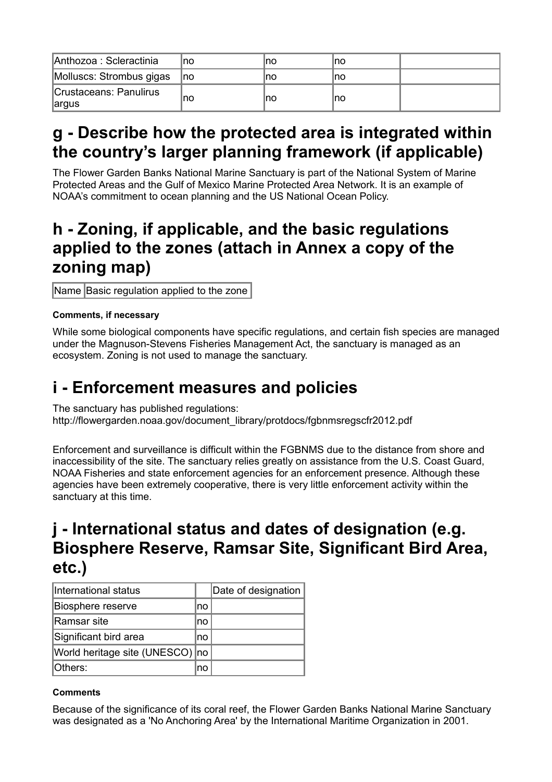| Anthozoa : Scleractinia                | Ino | no | no  |  |
|----------------------------------------|-----|----|-----|--|
| Molluscs: Strombus gigas               | lno | no | ∣no |  |
| Crustaceans: Panulirus<br><b>argus</b> | Ino | no | no  |  |

# **g - Describe how the protected area is integrated within the country's larger planning framework (if applicable)**

The Flower Garden Banks National Marine Sanctuary is part of the National System of Marine Protected Areas and the Gulf of Mexico Marine Protected Area Network. It is an example of NOAA's commitment to ocean planning and the US National Ocean Policy.

## **h - Zoning, if applicable, and the basic regulations applied to the zones (attach in Annex a copy of the zoning map)**

Name Basic regulation applied to the zone

### **Comments, if necessary**

While some biological components have specific regulations, and certain fish species are managed under the Magnuson-Stevens Fisheries Management Act, the sanctuary is managed as an ecosystem. Zoning is not used to manage the sanctuary.

# **i - Enforcement measures and policies**

The sanctuary has published regulations: http://flowergarden.noaa.gov/document\_library/protdocs/fgbnmsregscfr2012.pdf

Enforcement and surveillance is difficult within the FGBNMS due to the distance from shore and inaccessibility of the site. The sanctuary relies greatly on assistance from the U.S. Coast Guard, NOAA Fisheries and state enforcement agencies for an enforcement presence. Although these agencies have been extremely cooperative, there is very little enforcement activity within the sanctuary at this time.

## **j - International status and dates of designation (e.g. Biosphere Reserve, Ramsar Site, Significant Bird Area, etc.)**

| International status            |     | Date of designation |
|---------------------------------|-----|---------------------|
| Biosphere reserve               | Ino |                     |
| Ramsar site                     | no  |                     |
| Significant bird area           | no  |                     |
| World heritage site (UNESCO) no |     |                     |
| Others:                         | no  |                     |

### **Comments**

Because of the significance of its coral reef, the Flower Garden Banks National Marine Sanctuary was designated as a 'No Anchoring Area' by the International Maritime Organization in 2001.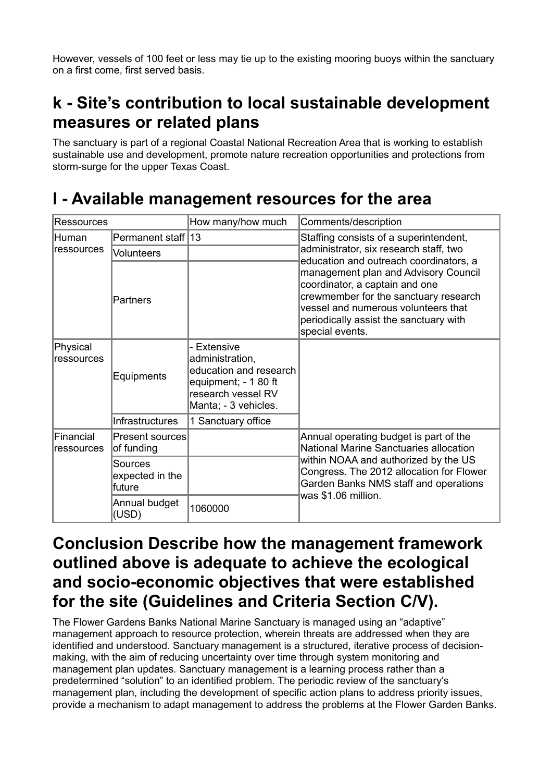However, vessels of 100 feet or less may tie up to the existing mooring buoys within the sanctuary on a first come, first served basis.

# **k - Site's contribution to local sustainable development measures or related plans**

The sanctuary is part of a regional Coastal National Recreation Area that is working to establish sustainable use and development, promote nature recreation opportunities and protections from storm-surge for the upper Texas Coast.

## **l - Available management resources for the area**

| Ressources                      |                                      | How many/how much                                                                                                            | Comments/description                                                                                                                                                                                                                                          |  |  |
|---------------------------------|--------------------------------------|------------------------------------------------------------------------------------------------------------------------------|---------------------------------------------------------------------------------------------------------------------------------------------------------------------------------------------------------------------------------------------------------------|--|--|
| lHuman<br>ressources            | Permanent staff 13                   |                                                                                                                              | Staffing consists of a superintendent,                                                                                                                                                                                                                        |  |  |
|                                 | <b>Volunteers</b>                    |                                                                                                                              | administrator, six research staff, two                                                                                                                                                                                                                        |  |  |
|                                 | Partners                             |                                                                                                                              | education and outreach coordinators, a<br>management plan and Advisory Council<br>coordinator, a captain and one<br>crewmember for the sanctuary research<br>vessel and numerous volunteers that<br>periodically assist the sanctuary with<br>special events. |  |  |
| Physical<br>ressources          | Equipments                           | Extensive<br>administration,<br>education and research<br>equipment; - 1 80 ft<br>research vessel RV<br>Manta; - 3 vehicles. |                                                                                                                                                                                                                                                               |  |  |
|                                 | <b>Infrastructures</b>               | 1 Sanctuary office                                                                                                           |                                                                                                                                                                                                                                                               |  |  |
| <b>IFinancial</b><br>ressources | Present sources<br>of funding        |                                                                                                                              | Annual operating budget is part of the<br>National Marine Sanctuaries allocation                                                                                                                                                                              |  |  |
|                                 | Sources<br>expected in the<br>future |                                                                                                                              | within NOAA and authorized by the US<br>Congress. The 2012 allocation for Flower<br>Garden Banks NMS staff and operations<br>was \$1.06 million.                                                                                                              |  |  |
|                                 | Annual budget<br>(USD)               | 1060000                                                                                                                      |                                                                                                                                                                                                                                                               |  |  |

## **Conclusion Describe how the management framework outlined above is adequate to achieve the ecological and socio-economic objectives that were established for the site (Guidelines and Criteria Section C/V).**

The Flower Gardens Banks National Marine Sanctuary is managed using an "adaptive" management approach to resource protection, wherein threats are addressed when they are identified and understood. Sanctuary management is a structured, iterative process of decisionmaking, with the aim of reducing uncertainty over time through system monitoring and management plan updates. Sanctuary management is a learning process rather than a predetermined "solution" to an identified problem. The periodic review of the sanctuary's management plan, including the development of specific action plans to address priority issues, provide a mechanism to adapt management to address the problems at the Flower Garden Banks.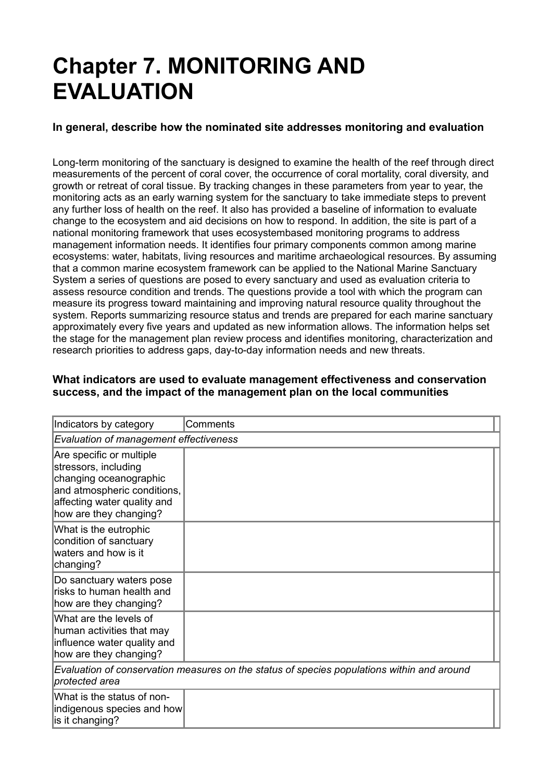# **Chapter 7. MONITORING AND EVALUATION**

### **In general, describe how the nominated site addresses monitoring and evaluation**

Long-term monitoring of the sanctuary is designed to examine the health of the reef through direct measurements of the percent of coral cover, the occurrence of coral mortality, coral diversity, and growth or retreat of coral tissue. By tracking changes in these parameters from year to year, the monitoring acts as an early warning system for the sanctuary to take immediate steps to prevent any further loss of health on the reef. It also has provided a baseline of information to evaluate change to the ecosystem and aid decisions on how to respond. In addition, the site is part of a national monitoring framework that uses ecosystembased monitoring programs to address management information needs. It identifies four primary components common among marine ecosystems: water, habitats, living resources and maritime archaeological resources. By assuming that a common marine ecosystem framework can be applied to the National Marine Sanctuary System a series of questions are posed to every sanctuary and used as evaluation criteria to assess resource condition and trends. The questions provide a tool with which the program can measure its progress toward maintaining and improving natural resource quality throughout the system. Reports summarizing resource status and trends are prepared for each marine sanctuary approximately every five years and updated as new information allows. The information helps set the stage for the management plan review process and identifies monitoring, characterization and research priorities to address gaps, day-to-day information needs and new threats.

### **What indicators are used to evaluate management effectiveness and conservation success, and the impact of the management plan on the local communities**

| Indicators by category                                                                                                                                             | Comments |  |  |  |
|--------------------------------------------------------------------------------------------------------------------------------------------------------------------|----------|--|--|--|
| Evaluation of management effectiveness                                                                                                                             |          |  |  |  |
| Are specific or multiple<br>stressors, including<br>changing oceanographic<br>and atmospheric conditions,<br>affecting water quality and<br>how are they changing? |          |  |  |  |
| What is the eutrophic<br>condition of sanctuary<br>waters and how is it<br>changing?                                                                               |          |  |  |  |
| Do sanctuary waters pose<br>risks to human health and<br>how are they changing?                                                                                    |          |  |  |  |
| What are the levels of<br>human activities that may<br>influence water quality and<br>how are they changing?                                                       |          |  |  |  |
| Evaluation of conservation measures on the status of species populations within and around<br>protected area                                                       |          |  |  |  |
| What is the status of non-<br>indigenous species and how<br>is it changing?                                                                                        |          |  |  |  |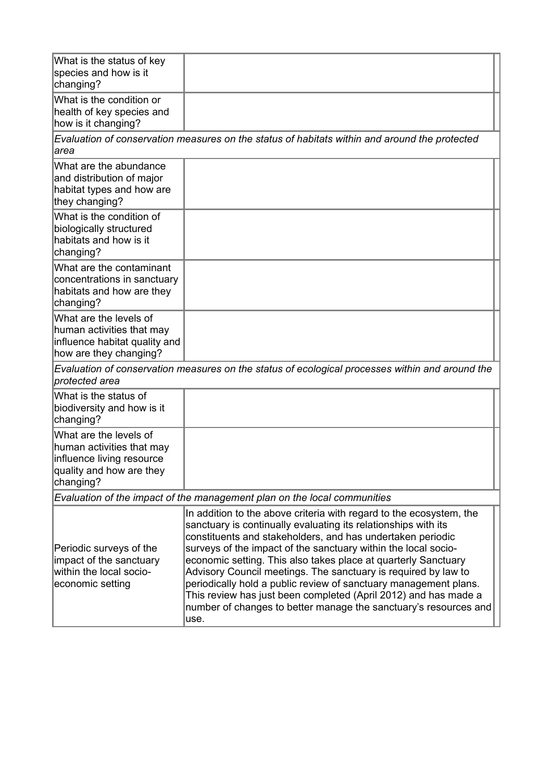| What is the status of key<br>species and how is it<br>changing?                                                                                                                                                                                                                                                                                                                                                                                                                                                                                                                                                                                                                                                                   |                                                                                                 |  |  |  |  |
|-----------------------------------------------------------------------------------------------------------------------------------------------------------------------------------------------------------------------------------------------------------------------------------------------------------------------------------------------------------------------------------------------------------------------------------------------------------------------------------------------------------------------------------------------------------------------------------------------------------------------------------------------------------------------------------------------------------------------------------|-------------------------------------------------------------------------------------------------|--|--|--|--|
| What is the condition or<br>health of key species and<br>how is it changing?                                                                                                                                                                                                                                                                                                                                                                                                                                                                                                                                                                                                                                                      |                                                                                                 |  |  |  |  |
| area                                                                                                                                                                                                                                                                                                                                                                                                                                                                                                                                                                                                                                                                                                                              | Evaluation of conservation measures on the status of habitats within and around the protected   |  |  |  |  |
| What are the abundance<br>and distribution of major<br>habitat types and how are<br>they changing?                                                                                                                                                                                                                                                                                                                                                                                                                                                                                                                                                                                                                                |                                                                                                 |  |  |  |  |
| What is the condition of<br>biologically structured<br>habitats and how is it<br>changing?                                                                                                                                                                                                                                                                                                                                                                                                                                                                                                                                                                                                                                        |                                                                                                 |  |  |  |  |
| What are the contaminant<br>concentrations in sanctuary<br>habitats and how are they<br>changing?                                                                                                                                                                                                                                                                                                                                                                                                                                                                                                                                                                                                                                 |                                                                                                 |  |  |  |  |
| What are the levels of<br>human activities that may<br>influence habitat quality and<br>how are they changing?                                                                                                                                                                                                                                                                                                                                                                                                                                                                                                                                                                                                                    |                                                                                                 |  |  |  |  |
| protected area                                                                                                                                                                                                                                                                                                                                                                                                                                                                                                                                                                                                                                                                                                                    | Evaluation of conservation measures on the status of ecological processes within and around the |  |  |  |  |
| What is the status of<br>biodiversity and how is it<br>changing?                                                                                                                                                                                                                                                                                                                                                                                                                                                                                                                                                                                                                                                                  |                                                                                                 |  |  |  |  |
| What are the levels of<br>human activities that may<br>influence living resource<br>quality and how are they<br>changing?                                                                                                                                                                                                                                                                                                                                                                                                                                                                                                                                                                                                         |                                                                                                 |  |  |  |  |
| Evaluation of the impact of the management plan on the local communities                                                                                                                                                                                                                                                                                                                                                                                                                                                                                                                                                                                                                                                          |                                                                                                 |  |  |  |  |
| In addition to the above criteria with regard to the ecosystem, the<br>sanctuary is continually evaluating its relationships with its<br>constituents and stakeholders, and has undertaken periodic<br>surveys of the impact of the sanctuary within the local socio-<br>Periodic surveys of the<br>economic setting. This also takes place at quarterly Sanctuary<br>impact of the sanctuary<br>within the local socio-<br>Advisory Council meetings. The sanctuary is required by law to<br>economic setting<br>periodically hold a public review of sanctuary management plans.<br>This review has just been completed (April 2012) and has made a<br>number of changes to better manage the sanctuary's resources and<br>use. |                                                                                                 |  |  |  |  |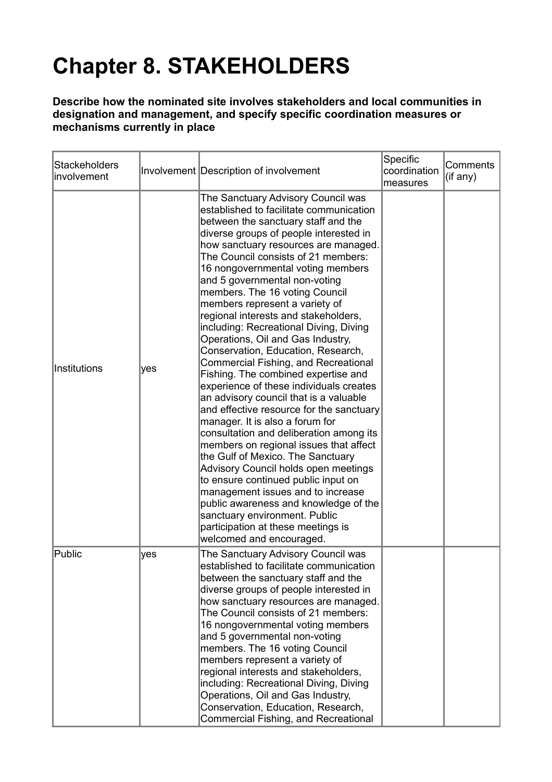# **Chapter 8. STAKEHOLDERS**

### **Describe how the nominated site involves stakeholders and local communities in designation and management, and specify specific coordination measures or mechanisms currently in place**

| <b>Stackeholders</b><br>involvement |     | Involvement Description of involvement                                                                                                                                                                                                                                                                                                                                                                                                                                                                                                                                                                                                                                                                                                                                                                                                                                                                                                                                                                                                                                                                                                                                                            | Specific<br>coordination<br>measures | Comments<br>(if any) |
|-------------------------------------|-----|---------------------------------------------------------------------------------------------------------------------------------------------------------------------------------------------------------------------------------------------------------------------------------------------------------------------------------------------------------------------------------------------------------------------------------------------------------------------------------------------------------------------------------------------------------------------------------------------------------------------------------------------------------------------------------------------------------------------------------------------------------------------------------------------------------------------------------------------------------------------------------------------------------------------------------------------------------------------------------------------------------------------------------------------------------------------------------------------------------------------------------------------------------------------------------------------------|--------------------------------------|----------------------|
| Institutions                        | yes | The Sanctuary Advisory Council was<br>established to facilitate communication<br>between the sanctuary staff and the<br>diverse groups of people interested in<br>how sanctuary resources are managed.<br>The Council consists of 21 members:<br>16 nongovernmental voting members<br>and 5 governmental non-voting<br>members. The 16 voting Council<br>members represent a variety of<br>regional interests and stakeholders,<br>including: Recreational Diving, Diving<br>Operations, Oil and Gas Industry,<br>Conservation, Education, Research,<br>Commercial Fishing, and Recreational<br>Fishing. The combined expertise and<br>experience of these individuals creates<br>an advisory council that is a valuable<br>and effective resource for the sanctuary<br>manager. It is also a forum for<br>consultation and deliberation among its<br>members on regional issues that affect<br>the Gulf of Mexico. The Sanctuary<br>Advisory Council holds open meetings<br>to ensure continued public input on<br>management issues and to increase<br>public awareness and knowledge of the<br>sanctuary environment. Public<br>participation at these meetings is<br>welcomed and encouraged. |                                      |                      |
| Public                              | yes | The Sanctuary Advisory Council was<br>established to facilitate communication<br>between the sanctuary staff and the<br>diverse groups of people interested in<br>how sanctuary resources are managed.<br>The Council consists of 21 members:<br>16 nongovernmental voting members<br>and 5 governmental non-voting<br>members. The 16 voting Council<br>members represent a variety of<br>regional interests and stakeholders,<br>including: Recreational Diving, Diving<br>Operations, Oil and Gas Industry,<br>Conservation, Education, Research,<br>Commercial Fishing, and Recreational                                                                                                                                                                                                                                                                                                                                                                                                                                                                                                                                                                                                      |                                      |                      |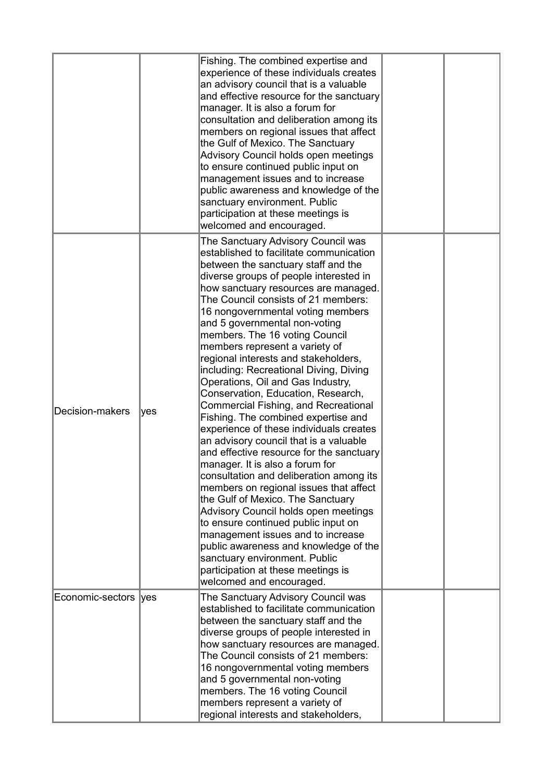|                       |     | Fishing. The combined expertise and<br>experience of these individuals creates<br>an advisory council that is a valuable<br>and effective resource for the sanctuary<br>manager. It is also a forum for<br>consultation and deliberation among its<br>members on regional issues that affect<br>the Gulf of Mexico. The Sanctuary<br>Advisory Council holds open meetings<br>to ensure continued public input on<br>management issues and to increase<br>public awareness and knowledge of the<br>sanctuary environment. Public<br>participation at these meetings is<br>welcomed and encouraged.                                                                                                                                                                                                                                                                                                                                                                                                                                                                                                                                                                                                 |  |
|-----------------------|-----|---------------------------------------------------------------------------------------------------------------------------------------------------------------------------------------------------------------------------------------------------------------------------------------------------------------------------------------------------------------------------------------------------------------------------------------------------------------------------------------------------------------------------------------------------------------------------------------------------------------------------------------------------------------------------------------------------------------------------------------------------------------------------------------------------------------------------------------------------------------------------------------------------------------------------------------------------------------------------------------------------------------------------------------------------------------------------------------------------------------------------------------------------------------------------------------------------|--|
| Decision-makers       | yes | The Sanctuary Advisory Council was<br>established to facilitate communication<br>between the sanctuary staff and the<br>diverse groups of people interested in<br>how sanctuary resources are managed.<br>The Council consists of 21 members:<br>16 nongovernmental voting members<br>and 5 governmental non-voting<br>members. The 16 voting Council<br>members represent a variety of<br>regional interests and stakeholders,<br>including: Recreational Diving, Diving<br>Operations, Oil and Gas Industry,<br>Conservation, Education, Research,<br>Commercial Fishing, and Recreational<br>Fishing. The combined expertise and<br>experience of these individuals creates<br>an advisory council that is a valuable<br>and effective resource for the sanctuary<br>manager. It is also a forum for<br>consultation and deliberation among its<br>members on regional issues that affect<br>the Gulf of Mexico. The Sanctuary<br>Advisory Council holds open meetings<br>to ensure continued public input on<br>management issues and to increase<br>public awareness and knowledge of the<br>sanctuary environment. Public<br>participation at these meetings is<br>welcomed and encouraged. |  |
| Economic-sectors  yes |     | The Sanctuary Advisory Council was<br>established to facilitate communication<br>between the sanctuary staff and the<br>diverse groups of people interested in<br>how sanctuary resources are managed.<br>The Council consists of 21 members:<br>16 nongovernmental voting members<br>and 5 governmental non-voting<br>members. The 16 voting Council<br>members represent a variety of<br>regional interests and stakeholders,                                                                                                                                                                                                                                                                                                                                                                                                                                                                                                                                                                                                                                                                                                                                                                   |  |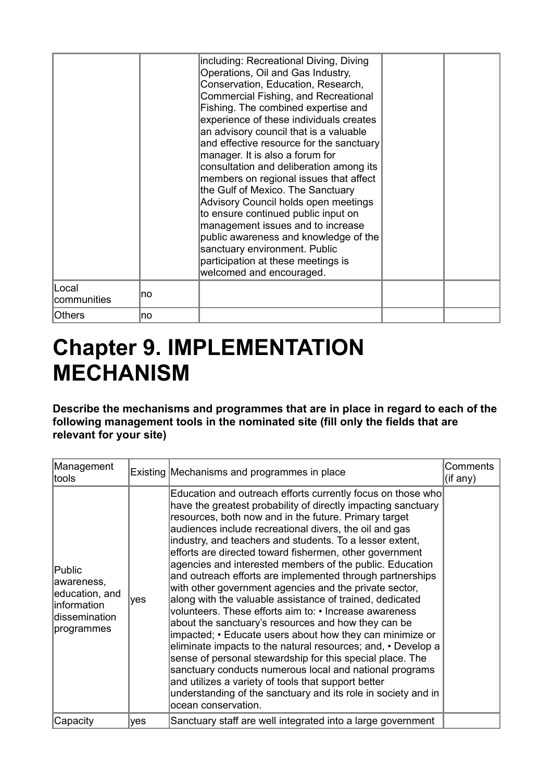|                      |    | including: Recreational Diving, Diving<br>Operations, Oil and Gas Industry,<br>Conservation, Education, Research,<br>Commercial Fishing, and Recreational<br>Fishing. The combined expertise and<br>experience of these individuals creates<br>an advisory council that is a valuable<br>and effective resource for the sanctuary<br>manager. It is also a forum for<br>consultation and deliberation among its<br>members on regional issues that affect<br>the Gulf of Mexico. The Sanctuary<br>Advisory Council holds open meetings<br>to ensure continued public input on<br>management issues and to increase<br>public awareness and knowledge of the<br>sanctuary environment. Public<br>participation at these meetings is<br>welcomed and encouraged. |  |
|----------------------|----|----------------------------------------------------------------------------------------------------------------------------------------------------------------------------------------------------------------------------------------------------------------------------------------------------------------------------------------------------------------------------------------------------------------------------------------------------------------------------------------------------------------------------------------------------------------------------------------------------------------------------------------------------------------------------------------------------------------------------------------------------------------|--|
| Local<br>communities | no |                                                                                                                                                                                                                                                                                                                                                                                                                                                                                                                                                                                                                                                                                                                                                                |  |
| <b>Others</b>        | no |                                                                                                                                                                                                                                                                                                                                                                                                                                                                                                                                                                                                                                                                                                                                                                |  |

# **Chapter 9. IMPLEMENTATION MECHANISM**

**Describe the mechanisms and programmes that are in place in regard to each of the following management tools in the nominated site (fill only the fields that are relevant for your site)** 

| Management<br>tools                                                                   |     | Existing Mechanisms and programmes in place                                                                                                                                                                                                                                                                                                                                                                                                                                                                                                                                                                                                                                                                                                                                                                                                                                                                                                                                                                                                                                                                                               | Comments<br>(if any) |
|---------------------------------------------------------------------------------------|-----|-------------------------------------------------------------------------------------------------------------------------------------------------------------------------------------------------------------------------------------------------------------------------------------------------------------------------------------------------------------------------------------------------------------------------------------------------------------------------------------------------------------------------------------------------------------------------------------------------------------------------------------------------------------------------------------------------------------------------------------------------------------------------------------------------------------------------------------------------------------------------------------------------------------------------------------------------------------------------------------------------------------------------------------------------------------------------------------------------------------------------------------------|----------------------|
| Public<br>awareness,<br>education, and<br>linformation<br>dissemination<br>programmes | yes | Education and outreach efforts currently focus on those who<br>have the greatest probability of directly impacting sanctuary<br>resources, both now and in the future. Primary target<br>audiences include recreational divers, the oil and gas<br>industry, and teachers and students. To a lesser extent,<br>efforts are directed toward fishermen, other government<br>agencies and interested members of the public. Education<br>and outreach efforts are implemented through partnerships<br>with other government agencies and the private sector,<br>along with the valuable assistance of trained, dedicated<br>volunteers. These efforts aim to: • Increase awareness<br>about the sanctuary's resources and how they can be<br>impacted; • Educate users about how they can minimize or<br>eliminate impacts to the natural resources; and, • Develop a<br>sense of personal stewardship for this special place. The<br>sanctuary conducts numerous local and national programs<br>and utilizes a variety of tools that support better<br>understanding of the sanctuary and its role in society and in<br>ocean conservation. |                      |
| Capacity                                                                              | yes | Sanctuary staff are well integrated into a large government                                                                                                                                                                                                                                                                                                                                                                                                                                                                                                                                                                                                                                                                                                                                                                                                                                                                                                                                                                                                                                                                               |                      |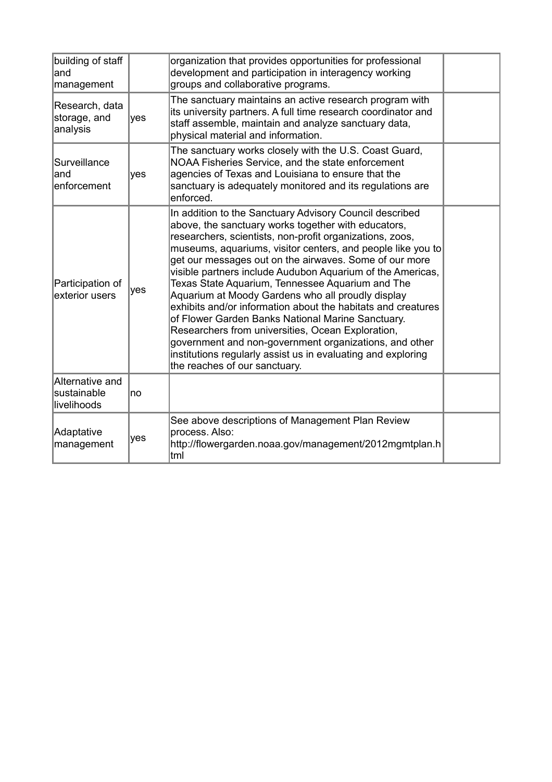| building of staff<br>land<br>management       |     | organization that provides opportunities for professional<br>development and participation in interagency working<br>groups and collaborative programs.                                                                                                                                                                                                                                                                                                                                                                                                                                                                                                                                                                                                                                                         |  |
|-----------------------------------------------|-----|-----------------------------------------------------------------------------------------------------------------------------------------------------------------------------------------------------------------------------------------------------------------------------------------------------------------------------------------------------------------------------------------------------------------------------------------------------------------------------------------------------------------------------------------------------------------------------------------------------------------------------------------------------------------------------------------------------------------------------------------------------------------------------------------------------------------|--|
| Research, data<br>storage, and<br>analysis    | yes | The sanctuary maintains an active research program with<br>its university partners. A full time research coordinator and<br>staff assemble, maintain and analyze sanctuary data,<br>physical material and information.                                                                                                                                                                                                                                                                                                                                                                                                                                                                                                                                                                                          |  |
| Surveillance<br>land<br>enforcement           | yes | The sanctuary works closely with the U.S. Coast Guard,<br>NOAA Fisheries Service, and the state enforcement<br>agencies of Texas and Louisiana to ensure that the<br>sanctuary is adequately monitored and its regulations are<br>enforced.                                                                                                                                                                                                                                                                                                                                                                                                                                                                                                                                                                     |  |
| Participation of<br>exterior users            | yes | In addition to the Sanctuary Advisory Council described<br>above, the sanctuary works together with educators,<br>researchers, scientists, non-profit organizations, zoos,<br>museums, aquariums, visitor centers, and people like you to<br>get our messages out on the airwaves. Some of our more<br>visible partners include Audubon Aquarium of the Americas,<br>Texas State Aquarium, Tennessee Aquarium and The<br>Aquarium at Moody Gardens who all proudly display<br>exhibits and/or information about the habitats and creatures<br>of Flower Garden Banks National Marine Sanctuary.<br>Researchers from universities, Ocean Exploration,<br>government and non-government organizations, and other<br>institutions regularly assist us in evaluating and exploring<br>the reaches of our sanctuary. |  |
| Alternative and<br>sustainable<br>livelihoods | no  |                                                                                                                                                                                                                                                                                                                                                                                                                                                                                                                                                                                                                                                                                                                                                                                                                 |  |
| Adaptative<br>management                      | yes | See above descriptions of Management Plan Review<br>process. Also:<br>http://flowergarden.noaa.gov/management/2012mgmtplan.h<br>tml                                                                                                                                                                                                                                                                                                                                                                                                                                                                                                                                                                                                                                                                             |  |